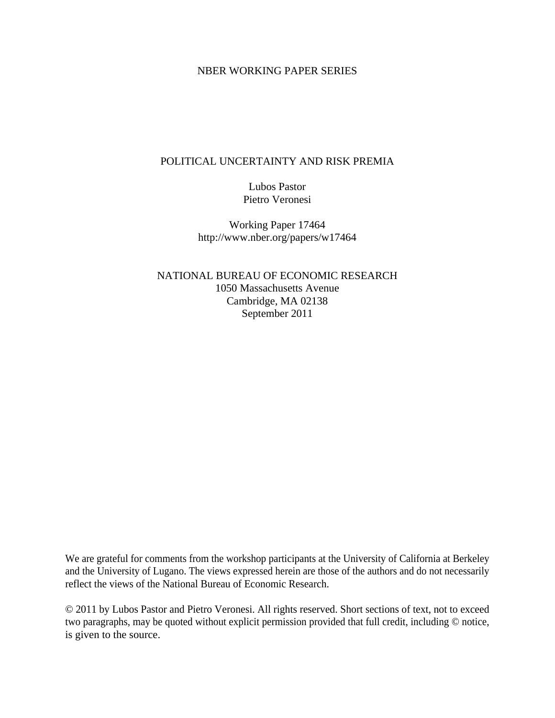#### NBER WORKING PAPER SERIES

#### POLITICAL UNCERTAINTY AND RISK PREMIA

Lubos Pastor Pietro Veronesi

Working Paper 17464 http://www.nber.org/papers/w17464

NATIONAL BUREAU OF ECONOMIC RESEARCH 1050 Massachusetts Avenue Cambridge, MA 02138 September 2011

We are grateful for comments from the workshop participants at the University of California at Berkeley and the University of Lugano. The views expressed herein are those of the authors and do not necessarily reflect the views of the National Bureau of Economic Research.

© 2011 by Lubos Pastor and Pietro Veronesi. All rights reserved. Short sections of text, not to exceed two paragraphs, may be quoted without explicit permission provided that full credit, including © notice, is given to the source.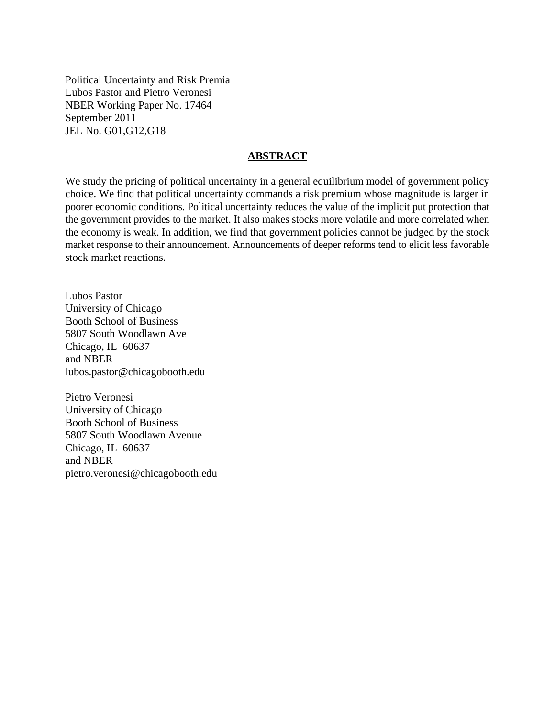Political Uncertainty and Risk Premia Lubos Pastor and Pietro Veronesi NBER Working Paper No. 17464 September 2011 JEL No. G01,G12,G18

#### **ABSTRACT**

We study the pricing of political uncertainty in a general equilibrium model of government policy choice. We find that political uncertainty commands a risk premium whose magnitude is larger in poorer economic conditions. Political uncertainty reduces the value of the implicit put protection that the government provides to the market. It also makes stocks more volatile and more correlated when the economy is weak. In addition, we find that government policies cannot be judged by the stock market response to their announcement. Announcements of deeper reforms tend to elicit less favorable stock market reactions.

Lubos Pastor University of Chicago Booth School of Business 5807 South Woodlawn Ave Chicago, IL 60637 and NBER lubos.pastor@chicagobooth.edu

Pietro Veronesi University of Chicago Booth School of Business 5807 South Woodlawn Avenue Chicago, IL 60637 and NBER pietro.veronesi@chicagobooth.edu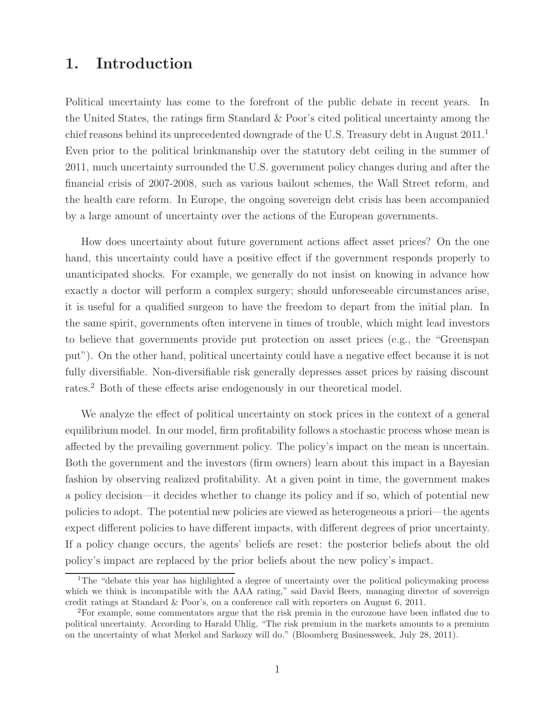# **1. Introduction**

Political uncertainty has come to the forefront of the public debate in recent years. In the United States, the ratings firm Standard & Poor's cited political uncertainty among the chief reasons behind its unprecedented downgrade of the U.S. Treasury debt in August 2011.<sup>1</sup> Even prior to the political brinkmanship over the statutory debt ceiling in the summer of 2011, much uncertainty surrounded the U.S. government policy changes during and after the financial crisis of 2007-2008, such as various bailout schemes, the Wall Street reform, and the health care reform. In Europe, the ongoing sovereign debt crisis has been accompanied by a large amount of uncertainty over the actions of the European governments.

How does uncertainty about future government actions affect asset prices? On the one hand, this uncertainty could have a positive effect if the government responds properly to unanticipated shocks. For example, we generally do not insist on knowing in advance how exactly a doctor will perform a complex surgery; should unforeseeable circumstances arise, it is useful for a qualified surgeon to have the freedom to depart from the initial plan. In the same spirit, governments often intervene in times of trouble, which might lead investors to believe that governments provide put protection on asset prices (e.g., the "Greenspan put"). On the other hand, political uncertainty could have a negative effect because it is not fully diversifiable. Non-diversifiable risk generally depresses asset prices by raising discount rates.<sup>2</sup> Both of these effects arise endogenously in our theoretical model.

We analyze the effect of political uncertainty on stock prices in the context of a general equilibrium model. In our model, firm profitability follows a stochastic process whose mean is affected by the prevailing government policy. The policy's impact on the mean is uncertain. Both the government and the investors (firm owners) learn about this impact in a Bayesian fashion by observing realized profitability. At a given point in time, the government makes a policy decision—it decides whether to change its policy and if so, which of potential new policies to adopt. The potential new policies are viewed as heterogeneous a priori—the agents expect different policies to have different impacts, with different degrees of prior uncertainty. If a policy change occurs, the agents' beliefs are reset: the posterior beliefs about the old policy's impact are replaced by the prior beliefs about the new policy's impact.

<sup>&</sup>lt;sup>1</sup>The "debate this year has highlighted a degree of uncertainty over the political policymaking process which we think is incompatible with the AAA rating," said David Beers, managing director of sovereign credit ratings at Standard & Poor's, on a conference call with reporters on August 6, 2011.

<sup>2</sup>For example, some commentators argue that the risk premia in the eurozone have been inflated due to political uncertainty. According to Harald Uhlig, "The risk premium in the markets amounts to a premium on the uncertainty of what Merkel and Sarkozy will do." (Bloomberg Businessweek, July 28, 2011).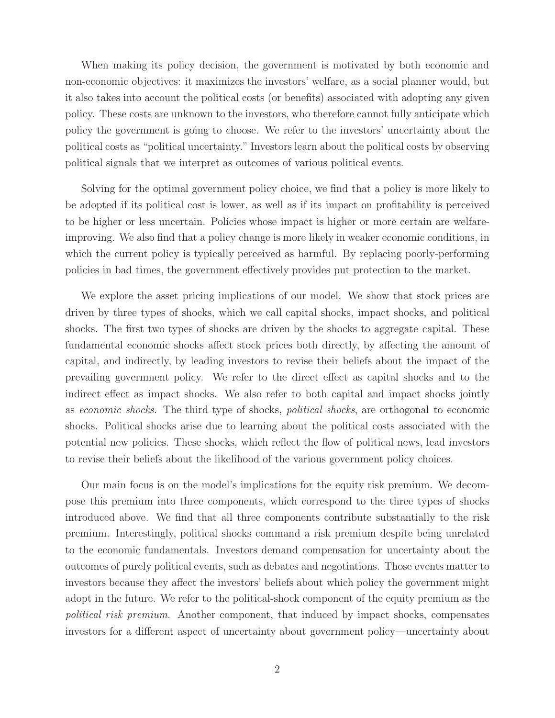When making its policy decision, the government is motivated by both economic and non-economic objectives: it maximizes the investors' welfare, as a social planner would, but it also takes into account the political costs (or benefits) associated with adopting any given policy. These costs are unknown to the investors, who therefore cannot fully anticipate which policy the government is going to choose. We refer to the investors' uncertainty about the political costs as "political uncertainty." Investors learn about the political costs by observing political signals that we interpret as outcomes of various political events.

Solving for the optimal government policy choice, we find that a policy is more likely to be adopted if its political cost is lower, as well as if its impact on profitability is perceived to be higher or less uncertain. Policies whose impact is higher or more certain are welfareimproving. We also find that a policy change is more likely in weaker economic conditions, in which the current policy is typically perceived as harmful. By replacing poorly-performing policies in bad times, the government effectively provides put protection to the market.

We explore the asset pricing implications of our model. We show that stock prices are driven by three types of shocks, which we call capital shocks, impact shocks, and political shocks. The first two types of shocks are driven by the shocks to aggregate capital. These fundamental economic shocks affect stock prices both directly, by affecting the amount of capital, and indirectly, by leading investors to revise their beliefs about the impact of the prevailing government policy. We refer to the direct effect as capital shocks and to the indirect effect as impact shocks. We also refer to both capital and impact shocks jointly as economic shocks. The third type of shocks, political shocks, are orthogonal to economic shocks. Political shocks arise due to learning about the political costs associated with the potential new policies. These shocks, which reflect the flow of political news, lead investors to revise their beliefs about the likelihood of the various government policy choices.

Our main focus is on the model's implications for the equity risk premium. We decompose this premium into three components, which correspond to the three types of shocks introduced above. We find that all three components contribute substantially to the risk premium. Interestingly, political shocks command a risk premium despite being unrelated to the economic fundamentals. Investors demand compensation for uncertainty about the outcomes of purely political events, such as debates and negotiations. Those events matter to investors because they affect the investors' beliefs about which policy the government might adopt in the future. We refer to the political-shock component of the equity premium as the political risk premium. Another component, that induced by impact shocks, compensates investors for a different aspect of uncertainty about government policy—uncertainty about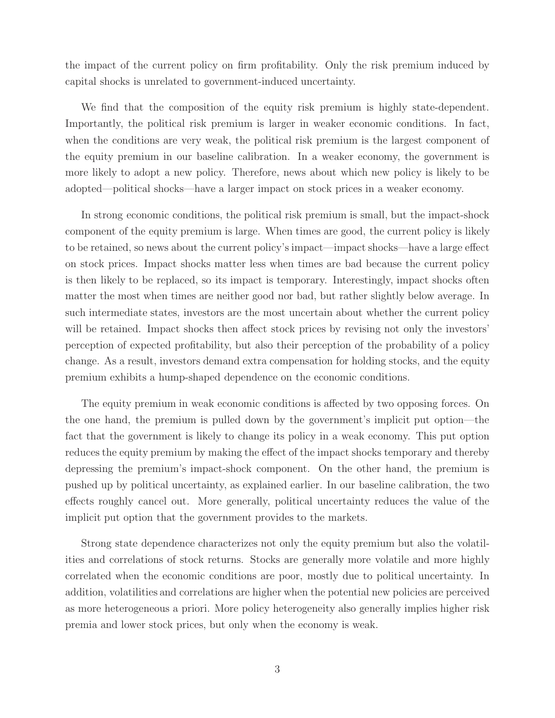the impact of the current policy on firm profitability. Only the risk premium induced by capital shocks is unrelated to government-induced uncertainty.

We find that the composition of the equity risk premium is highly state-dependent. Importantly, the political risk premium is larger in weaker economic conditions. In fact, when the conditions are very weak, the political risk premium is the largest component of the equity premium in our baseline calibration. In a weaker economy, the government is more likely to adopt a new policy. Therefore, news about which new policy is likely to be adopted—political shocks—have a larger impact on stock prices in a weaker economy.

In strong economic conditions, the political risk premium is small, but the impact-shock component of the equity premium is large. When times are good, the current policy is likely to be retained, so news about the current policy's impact—impact shocks—have a large effect on stock prices. Impact shocks matter less when times are bad because the current policy is then likely to be replaced, so its impact is temporary. Interestingly, impact shocks often matter the most when times are neither good nor bad, but rather slightly below average. In such intermediate states, investors are the most uncertain about whether the current policy will be retained. Impact shocks then affect stock prices by revising not only the investors' perception of expected profitability, but also their perception of the probability of a policy change. As a result, investors demand extra compensation for holding stocks, and the equity premium exhibits a hump-shaped dependence on the economic conditions.

The equity premium in weak economic conditions is affected by two opposing forces. On the one hand, the premium is pulled down by the government's implicit put option—the fact that the government is likely to change its policy in a weak economy. This put option reduces the equity premium by making the effect of the impact shocks temporary and thereby depressing the premium's impact-shock component. On the other hand, the premium is pushed up by political uncertainty, as explained earlier. In our baseline calibration, the two effects roughly cancel out. More generally, political uncertainty reduces the value of the implicit put option that the government provides to the markets.

Strong state dependence characterizes not only the equity premium but also the volatilities and correlations of stock returns. Stocks are generally more volatile and more highly correlated when the economic conditions are poor, mostly due to political uncertainty. In addition, volatilities and correlations are higher when the potential new policies are perceived as more heterogeneous a priori. More policy heterogeneity also generally implies higher risk premia and lower stock prices, but only when the economy is weak.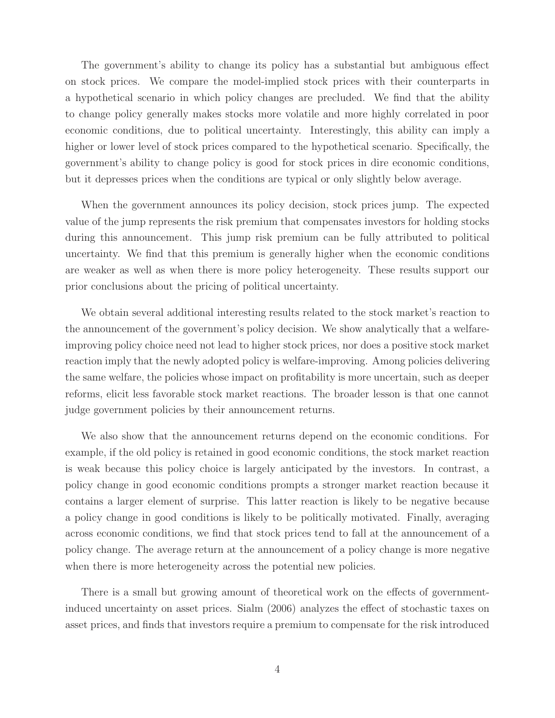The government's ability to change its policy has a substantial but ambiguous effect on stock prices. We compare the model-implied stock prices with their counterparts in a hypothetical scenario in which policy changes are precluded. We find that the ability to change policy generally makes stocks more volatile and more highly correlated in poor economic conditions, due to political uncertainty. Interestingly, this ability can imply a higher or lower level of stock prices compared to the hypothetical scenario. Specifically, the government's ability to change policy is good for stock prices in dire economic conditions, but it depresses prices when the conditions are typical or only slightly below average.

When the government announces its policy decision, stock prices jump. The expected value of the jump represents the risk premium that compensates investors for holding stocks during this announcement. This jump risk premium can be fully attributed to political uncertainty. We find that this premium is generally higher when the economic conditions are weaker as well as when there is more policy heterogeneity. These results support our prior conclusions about the pricing of political uncertainty.

We obtain several additional interesting results related to the stock market's reaction to the announcement of the government's policy decision. We show analytically that a welfareimproving policy choice need not lead to higher stock prices, nor does a positive stock market reaction imply that the newly adopted policy is welfare-improving. Among policies delivering the same welfare, the policies whose impact on profitability is more uncertain, such as deeper reforms, elicit less favorable stock market reactions. The broader lesson is that one cannot judge government policies by their announcement returns.

We also show that the announcement returns depend on the economic conditions. For example, if the old policy is retained in good economic conditions, the stock market reaction is weak because this policy choice is largely anticipated by the investors. In contrast, a policy change in good economic conditions prompts a stronger market reaction because it contains a larger element of surprise. This latter reaction is likely to be negative because a policy change in good conditions is likely to be politically motivated. Finally, averaging across economic conditions, we find that stock prices tend to fall at the announcement of a policy change. The average return at the announcement of a policy change is more negative when there is more heterogeneity across the potential new policies.

There is a small but growing amount of theoretical work on the effects of governmentinduced uncertainty on asset prices. Sialm (2006) analyzes the effect of stochastic taxes on asset prices, and finds that investors require a premium to compensate for the risk introduced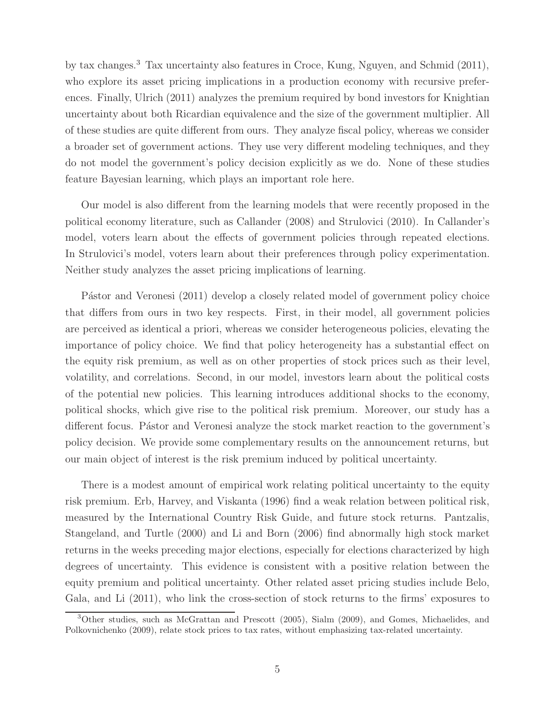by tax changes.<sup>3</sup> Tax uncertainty also features in Croce, Kung, Nguyen, and Schmid (2011), who explore its asset pricing implications in a production economy with recursive preferences. Finally, Ulrich (2011) analyzes the premium required by bond investors for Knightian uncertainty about both Ricardian equivalence and the size of the government multiplier. All of these studies are quite different from ours. They analyze fiscal policy, whereas we consider a broader set of government actions. They use very different modeling techniques, and they do not model the government's policy decision explicitly as we do. None of these studies feature Bayesian learning, which plays an important role here.

Our model is also different from the learning models that were recently proposed in the political economy literature, such as Callander (2008) and Strulovici (2010). In Callander's model, voters learn about the effects of government policies through repeated elections. In Strulovici's model, voters learn about their preferences through policy experimentation. Neither study analyzes the asset pricing implications of learning.

Pástor and Veronesi (2011) develop a closely related model of government policy choice that differs from ours in two key respects. First, in their model, all government policies are perceived as identical a priori, whereas we consider heterogeneous policies, elevating the importance of policy choice. We find that policy heterogeneity has a substantial effect on the equity risk premium, as well as on other properties of stock prices such as their level, volatility, and correlations. Second, in our model, investors learn about the political costs of the potential new policies. This learning introduces additional shocks to the economy, political shocks, which give rise to the political risk premium. Moreover, our study has a different focus. Pástor and Veronesi analyze the stock market reaction to the government's policy decision. We provide some complementary results on the announcement returns, but our main object of interest is the risk premium induced by political uncertainty.

There is a modest amount of empirical work relating political uncertainty to the equity risk premium. Erb, Harvey, and Viskanta (1996) find a weak relation between political risk, measured by the International Country Risk Guide, and future stock returns. Pantzalis, Stangeland, and Turtle (2000) and Li and Born (2006) find abnormally high stock market returns in the weeks preceding major elections, especially for elections characterized by high degrees of uncertainty. This evidence is consistent with a positive relation between the equity premium and political uncertainty. Other related asset pricing studies include Belo, Gala, and Li (2011), who link the cross-section of stock returns to the firms' exposures to

<sup>3</sup>Other studies, such as McGrattan and Prescott (2005), Sialm (2009), and Gomes, Michaelides, and Polkovnichenko (2009), relate stock prices to tax rates, without emphasizing tax-related uncertainty.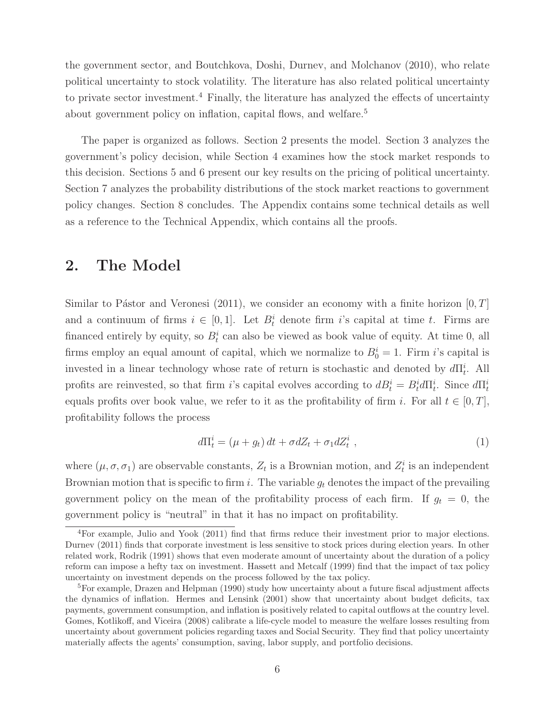the government sector, and Boutchkova, Doshi, Durnev, and Molchanov (2010), who relate political uncertainty to stock volatility. The literature has also related political uncertainty to private sector investment.<sup>4</sup> Finally, the literature has analyzed the effects of uncertainty about government policy on inflation, capital flows, and welfare.<sup>5</sup>

The paper is organized as follows. Section 2 presents the model. Section 3 analyzes the government's policy decision, while Section 4 examines how the stock market responds to this decision. Sections 5 and 6 present our key results on the pricing of political uncertainty. Section 7 analyzes the probability distributions of the stock market reactions to government policy changes. Section 8 concludes. The Appendix contains some technical details as well as a reference to the Technical Appendix, which contains all the proofs.

## **2. The Model**

Similar to Pástor and Veronesi (2011), we consider an economy with a finite horizon  $[0, T]$ and a continuum of firms  $i \in [0, 1]$ . Let  $B_t^i$  denote firm i's capital at time t. Firms are financed entirely by equity, so  $B_t^i$  can also be viewed as book value of equity. At time 0, all firms employ an equal amount of capital, which we normalize to  $B_0^i = 1$ . Firm i's capital is invested in a linear technology whose rate of return is stochastic and denoted by  $d\Pi_t^i$ . All profits are reinvested, so that firm i's capital evolves according to  $dB_t^i = B_t^i d\Pi_t^i$ . Since  $d\Pi_t^i$ equals profits over book value, we refer to it as the profitability of firm i. For all  $t \in [0, T]$ , profitability follows the process

$$
d\Pi_t^i = (\mu + g_t) dt + \sigma dZ_t + \sigma_1 dZ_t^i , \qquad (1)
$$

where  $(\mu, \sigma, \sigma_1)$  are observable constants,  $Z_t$  is a Brownian motion, and  $Z_t^i$  is an independent Brownian motion that is specific to firm i. The variable  $g_t$  denotes the impact of the prevailing government policy on the mean of the profitability process of each firm. If  $g_t = 0$ , the government policy is "neutral" in that it has no impact on profitability.

<sup>4</sup>For example, Julio and Yook (2011) find that firms reduce their investment prior to major elections. Durnev (2011) finds that corporate investment is less sensitive to stock prices during election years. In other related work, Rodrik (1991) shows that even moderate amount of uncertainty about the duration of a policy reform can impose a hefty tax on investment. Hassett and Metcalf (1999) find that the impact of tax policy uncertainty on investment depends on the process followed by the tax policy.

 ${}^{5}$ For example, Drazen and Helpman (1990) study how uncertainty about a future fiscal adjustment affects the dynamics of inflation. Hermes and Lensink (2001) show that uncertainty about budget deficits, tax payments, government consumption, and inflation is positively related to capital outflows at the country level. Gomes, Kotlikoff, and Viceira (2008) calibrate a life-cycle model to measure the welfare losses resulting from uncertainty about government policies regarding taxes and Social Security. They find that policy uncertainty materially affects the agents' consumption, saving, labor supply, and portfolio decisions.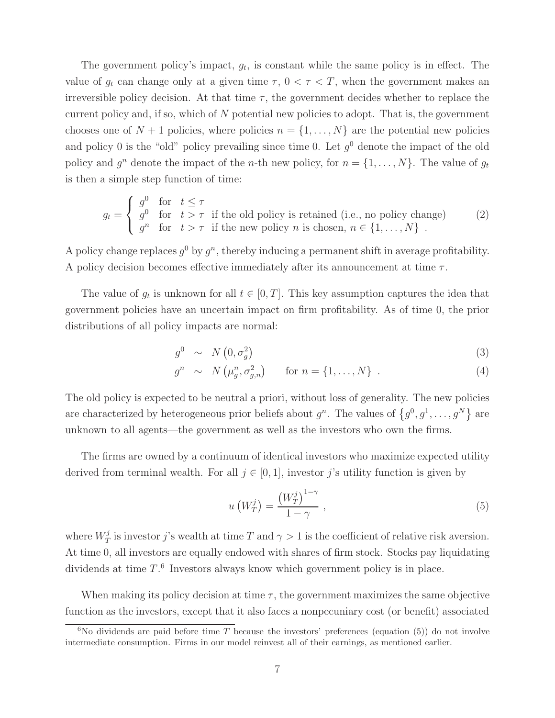The government policy's impact,  $g_t$ , is constant while the same policy is in effect. The value of  $g_t$  can change only at a given time  $\tau$ ,  $0 < \tau < T$ , when the government makes an irreversible policy decision. At that time  $\tau$ , the government decides whether to replace the current policy and, if so, which of N potential new policies to adopt. That is, the government chooses one of  $N + 1$  policies, where policies  $n = \{1, \ldots, N\}$  are the potential new policies and policy 0 is the "old" policy prevailing since time 0. Let  $q<sup>0</sup>$  denote the impact of the old policy and  $g^n$  denote the impact of the *n*-th new policy, for  $n = \{1, ..., N\}$ . The value of  $g_t$ is then a simple step function of time:

$$
g_t = \begin{cases} g^0 & \text{for } t \le \tau \\ g^0 & \text{for } t > \tau \end{cases} \text{ if the old policy is retained (i.e., no policy change)} \tag{2}
$$
\n
$$
g^n \quad \text{for } t > \tau \text{ if the new policy } n \text{ is chosen, } n \in \{1, \dots, N\} \text{ .}
$$

A policy change replaces  $q^0$  by  $q^n$ , thereby inducing a permanent shift in average profitability. A policy decision becomes effective immediately after its announcement at time  $\tau$ .

The value of  $g_t$  is unknown for all  $t \in [0, T]$ . This key assumption captures the idea that government policies have an uncertain impact on firm profitability. As of time 0, the prior distributions of all policy impacts are normal:

$$
g^0 \sim N\left(0, \sigma_q^2\right) \tag{3}
$$

$$
g^{n} \sim N(\mu_{g}^{n}, \sigma_{g,n}^{2}) \quad \text{for } n = \{1, ..., N\} . \tag{4}
$$

The old policy is expected to be neutral a priori, without loss of generality. The new policies are characterized by heterogeneous prior beliefs about  $g^n$ . The values of  $\{g^0, g^1, \ldots, g^N\}$  are unknown to all agents—the government as well as the investors who own the firms.

The firms are owned by a continuum of identical investors who maximize expected utility derived from terminal wealth. For all  $j \in [0, 1]$ , investor j's utility function is given by

$$
u\left(W_T^j\right) = \frac{\left(W_T^j\right)^{1-\gamma}}{1-\gamma} \,,\tag{5}
$$

where  $W_T^j$  is investor j's wealth at time T and  $\gamma > 1$  is the coefficient of relative risk aversion. At time 0, all investors are equally endowed with shares of firm stock. Stocks pay liquidating dividends at time  $T<sup>6</sup>$  Investors always know which government policy is in place.

When making its policy decision at time  $\tau$ , the government maximizes the same objective function as the investors, except that it also faces a nonpecuniary cost (or benefit) associated

<sup>&</sup>lt;sup>6</sup>No dividends are paid before time T because the investors' preferences (equation (5)) do not involve intermediate consumption. Firms in our model reinvest all of their earnings, as mentioned earlier.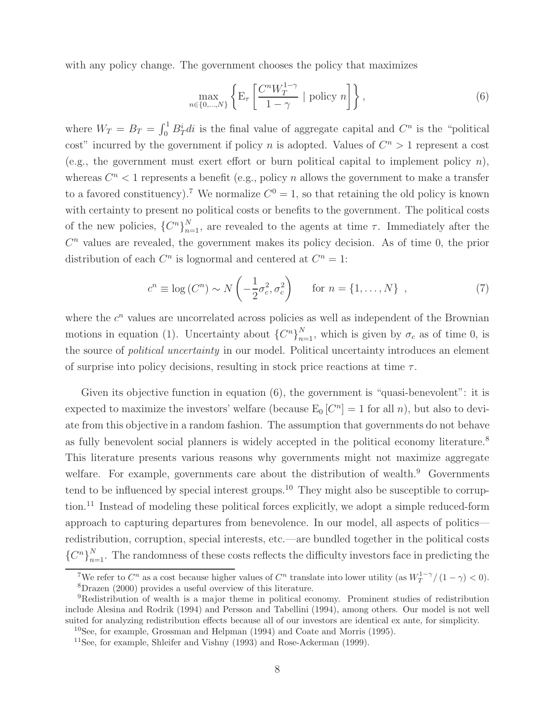with any policy change. The government chooses the policy that maximizes

$$
\max_{n \in \{0, \dots, N\}} \left\{ \mathcal{E}_{\tau} \left[ \frac{C^n W_T^{1-\gamma}}{1-\gamma} \mid \text{policy } n \right] \right\},\tag{6}
$$

where  $W_T = B_T = \int_0^1 B_T^i di$  is the final value of aggregate capital and  $C^n$  is the "political" cost" incurred by the government if policy n is adopted. Values of  $C<sup>n</sup> > 1$  represent a cost (e.g., the government must exert effort or burn political capital to implement policy  $n$ ), whereas  $C<sup>n</sup> < 1$  represents a benefit (e.g., policy n allows the government to make a transfer to a favored constituency).<sup>7</sup> We normalize  $C^0 = 1$ , so that retaining the old policy is known with certainty to present no political costs or benefits to the government. The political costs of the new policies,  $\{C^n\}_{n=1}^N$ , are revealed to the agents at time  $\tau$ . Immediately after the  $C<sup>n</sup>$  values are revealed, the government makes its policy decision. As of time 0, the prior distribution of each  $C^n$  is lognormal and centered at  $C^n = 1$ :

$$
c^{n} \equiv \log\left(C^{n}\right) \sim N\left(-\frac{1}{2}\sigma_{c}^{2}, \sigma_{c}^{2}\right) \quad \text{for } n = \{1, \dots, N\} \quad , \tag{7}
$$

where the  $c^n$  values are uncorrelated across policies as well as independent of the Brownian motions in equation (1). Uncertainty about  ${C^n}_{n=1}^N$ , which is given by  $\sigma_c$  as of time 0, is the source of political uncertainty in our model. Political uncertainty introduces an element of surprise into policy decisions, resulting in stock price reactions at time  $\tau$ .

Given its objective function in equation (6), the government is "quasi-benevolent": it is expected to maximize the investors' welfare (because  $E_0$   $[C^n] = 1$  for all n), but also to deviate from this objective in a random fashion. The assumption that governments do not behave as fully benevolent social planners is widely accepted in the political economy literature.<sup>8</sup> This literature presents various reasons why governments might not maximize aggregate welfare. For example, governments care about the distribution of wealth.<sup>9</sup> Governments tend to be influenced by special interest groups.<sup>10</sup> They might also be susceptible to corruption.<sup>11</sup> Instead of modeling these political forces explicitly, we adopt a simple reduced-form approach to capturing departures from benevolence. In our model, all aspects of politics redistribution, corruption, special interests, etc.—are bundled together in the political costs  ${C^n}_{n=1}^N$ . The randomness of these costs reflects the difficulty investors face in predicting the

<sup>&</sup>lt;sup>7</sup>We refer to  $C^n$  as a cost because higher values of  $C^n$  translate into lower utility (as  $W_T^{1-\gamma}/(1-\gamma) < 0$ ).<br><sup>8</sup>Dragen (2000) provides a useful overview of this literature <sup>8</sup>Drazen (2000) provides a useful overview of this literature.

<sup>9</sup>Redistribution of wealth is a major theme in political economy. Prominent studies of redistribution include Alesina and Rodrik (1994) and Persson and Tabellini (1994), among others. Our model is not well suited for analyzing redistribution effects because all of our investors are identical ex ante, for simplicity.

 $10$ See, for example, Grossman and Helpman (1994) and Coate and Morris (1995).

<sup>11</sup>See, for example, Shleifer and Vishny (1993) and Rose-Ackerman (1999).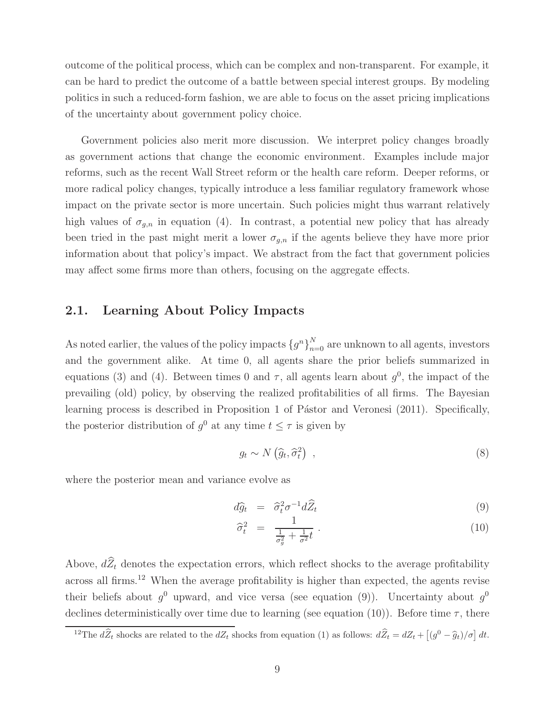outcome of the political process, which can be complex and non-transparent. For example, it can be hard to predict the outcome of a battle between special interest groups. By modeling politics in such a reduced-form fashion, we are able to focus on the asset pricing implications of the uncertainty about government policy choice.

Government policies also merit more discussion. We interpret policy changes broadly as government actions that change the economic environment. Examples include major reforms, such as the recent Wall Street reform or the health care reform. Deeper reforms, or more radical policy changes, typically introduce a less familiar regulatory framework whose impact on the private sector is more uncertain. Such policies might thus warrant relatively high values of  $\sigma_{g,n}$  in equation (4). In contrast, a potential new policy that has already been tried in the past might merit a lower  $\sigma_{g,n}$  if the agents believe they have more prior information about that policy's impact. We abstract from the fact that government policies may affect some firms more than others, focusing on the aggregate effects.

#### **2.1. Learning About Policy Impacts**

As noted earlier, the values of the policy impacts  ${g^n}_{n=0}^N$  are unknown to all agents, investors and the government alike. At time 0, all agents share the prior beliefs summarized in equations (3) and (4). Between times 0 and  $\tau$ , all agents learn about  $g^0$ , the impact of the prevailing (old) policy, by observing the realized profitabilities of all firms. The Bayesian learning process is described in Proposition 1 of Pástor and Veronesi (2011). Specifically, the posterior distribution of  $g^0$  at any time  $t \leq \tau$  is given by

$$
g_t \sim N\left(\hat{g}_t, \hat{\sigma}_t^2\right) \tag{8}
$$

where the posterior mean and variance evolve as

$$
d\hat{g}_t = \hat{\sigma}_t^2 \sigma^{-1} d\hat{Z}_t \tag{9}
$$

$$
\widehat{\sigma}_t^2 = \frac{1}{\frac{1}{\sigma_g^2} + \frac{1}{\sigma^2}t} \tag{10}
$$

Above,  $d\widehat{Z}_t$  denotes the expectation errors, which reflect shocks to the average profitability across all firms.<sup>12</sup> When the average profitability is higher than expected, the agents revise their beliefs about  $q^0$  upward, and vice versa (see equation (9)). Uncertainty about  $q^0$ declines deterministically over time due to learning (see equation (10)). Before time  $\tau$ , there

<sup>&</sup>lt;sup>12</sup>The  $d\hat{Z}_t$  shocks are related to the  $dZ_t$  shocks from equation (1) as follows:  $d\hat{Z}_t = dZ_t + [(g^0 - \hat{g}_t)/\sigma] dt$ .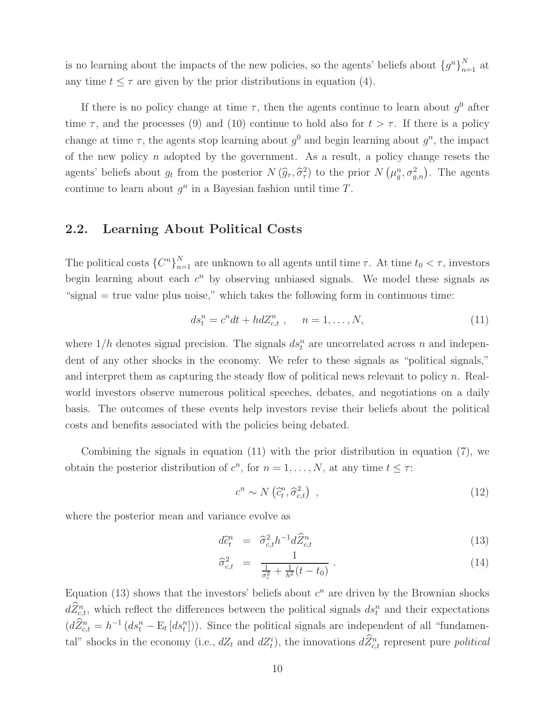is no learning about the impacts of the new policies, so the agents' beliefs about  ${g^n}_{n=1}^N$  at any time  $t \leq \tau$  are given by the prior distributions in equation (4).

If there is no policy change at time  $\tau$ , then the agents continue to learn about  $g^0$  after time  $\tau$ , and the processes (9) and (10) continue to hold also for  $t>\tau$ . If there is a policy change at time  $\tau$ , the agents stop learning about  $g^0$  and begin learning about  $g^n$ , the impact of the new policy  $n$  adopted by the government. As a result, a policy change resets the agents' beliefs about  $g_t$  from the posterior  $N(\hat{g}_\tau, \hat{\sigma}_\tau^2)$  to the prior  $N(\mu_g^n, \sigma_{g,n}^2)$ . The agents continue to learn about  $q^n$  in a Bayesian fashion until time  $T$ .

#### **2.2. Learning About Political Costs**

The political costs  $\{C^n\}_{n=1}^N$  are unknown to all agents until time  $\tau$ . At time  $t_0 < \tau$ , investors begin learning about each  $c^n$  by observing unbiased signals. We model these signals as "signal  $=$  true value plus noise," which takes the following form in continuous time:

$$
ds_t^n = c^n dt + h dZ_{c,t}^n \t , \t n = 1, ..., N,
$$
\t(11)

where  $1/h$  denotes signal precision. The signals  $ds_t^n$  are uncorrelated across n and independent dent of any other shocks in the economy. We refer to these signals as "political signals," and interpret them as capturing the steady flow of political news relevant to policy  $n$ . Realworld investors observe numerous political speeches, debates, and negotiations on a daily basis. The outcomes of these events help investors revise their beliefs about the political costs and benefits associated with the policies being debated.

Combining the signals in equation (11) with the prior distribution in equation (7), we obtain the posterior distribution of  $c^n$ , for  $n = 1, \ldots, N$ , at any time  $t \leq \tau$ :

$$
c^n \sim N\left(\hat{c}_t^n, \hat{\sigma}_{c,t}^2\right) \tag{12}
$$

where the posterior mean and variance evolve as

$$
d\widehat{c}_t^n = \widehat{\sigma}_{c,t}^2 h^{-1} d\widehat{Z}_{c,t}^n \tag{13}
$$

$$
\widehat{\sigma}_{c,t}^2 = \frac{1}{\frac{1}{\sigma_c^2} + \frac{1}{h^2}(t - t_0)}.
$$
\n(14)

Equation (13) shows that the investors' beliefs about  $c^n$  are driven by the Brownian shocks  $dZ_{c,t}^n$ , which reflect the differences between the political signals  $ds_t^n$  and their expectations  $(d\widehat{Z}_{c,t}^n = h^{-1} (ds_t^n - \mathbb{E}_t [ds_t^n]))$ . Since the political signals are independent of all "fundamental" shocks in the economy (i.e.,  $dZ_t$  and  $dZ_t^i$ ), the innovations  $dZ_{c,t}^n$  represent pure *political*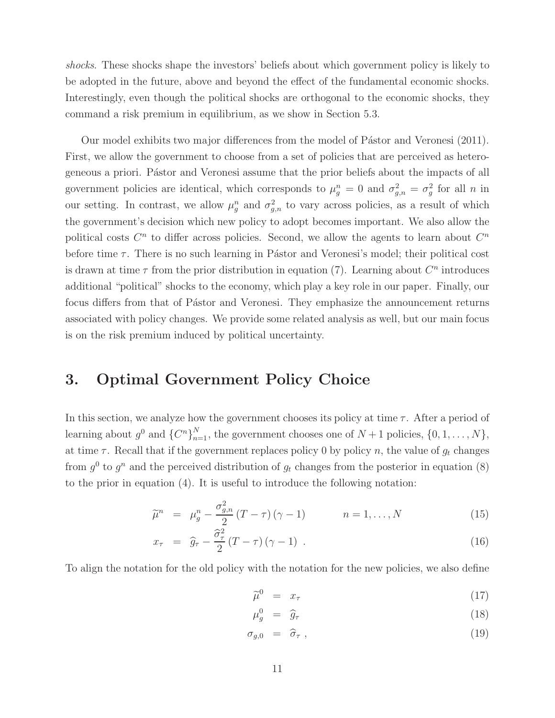shocks. These shocks shape the investors' beliefs about which government policy is likely to be adopted in the future, above and beyond the effect of the fundamental economic shocks. Interestingly, even though the political shocks are orthogonal to the economic shocks, they command a risk premium in equilibrium, as we show in Section 5.3.

Our model exhibits two major differences from the model of Pástor and Veronesi (2011). First, we allow the government to choose from a set of policies that are perceived as heterogeneous a priori. Pástor and Veronesi assume that the prior beliefs about the impacts of all government policies are identical, which corresponds to  $\mu_g^n = 0$  and  $\sigma_{g,n}^2 = \sigma_g^2$  for all n in our setting. In contrast, we allow  $\mu_g^n$  and  $\sigma_{g,n}^2$  to vary across policies, as a result of which the government's decision which new policy to adopt becomes important. We also allow the political costs  $C^n$  to differ across policies. Second, we allow the agents to learn about  $C^n$ before time  $\tau$ . There is no such learning in Pástor and Veronesi's model; their political cost is drawn at time  $\tau$  from the prior distribution in equation (7). Learning about  $C^n$  introduces additional "political" shocks to the economy, which play a key role in our paper. Finally, our focus differs from that of Pástor and Veronesi. They emphasize the announcement returns associated with policy changes. We provide some related analysis as well, but our main focus is on the risk premium induced by political uncertainty.

# **3. Optimal Government Policy Choice**

In this section, we analyze how the government chooses its policy at time  $\tau$ . After a period of learning about  $g^0$  and  $\{C^n\}_{n=1}^N$ , the government chooses one of  $N+1$  policies,  $\{0, 1, \ldots, N\}$ , at time  $\tau$ . Recall that if the government replaces policy 0 by policy n, the value of  $g_t$  changes from  $g^0$  to  $g^n$  and the perceived distribution of  $g_t$  changes from the posterior in equation (8) to the prior in equation (4). It is useful to introduce the following notation:

$$
\widetilde{\mu}^n = \mu_g^n - \frac{\sigma_{g,n}^2}{2} (T - \tau) (\gamma - 1) \qquad n = 1, \dots, N \qquad (15)
$$

$$
x_{\tau} = \hat{g}_{\tau} - \frac{\hat{\sigma}_{\tau}^2}{2} (T - \tau) (\gamma - 1) \tag{16}
$$

To align the notation for the old policy with the notation for the new policies, we also define

$$
\widetilde{\mu}^0 = x_\tau \tag{17}
$$

$$
\mu_g^0 = \hat{g}_\tau \tag{18}
$$

$$
\sigma_{g,0} = \hat{\sigma}_{\tau} , \qquad (19)
$$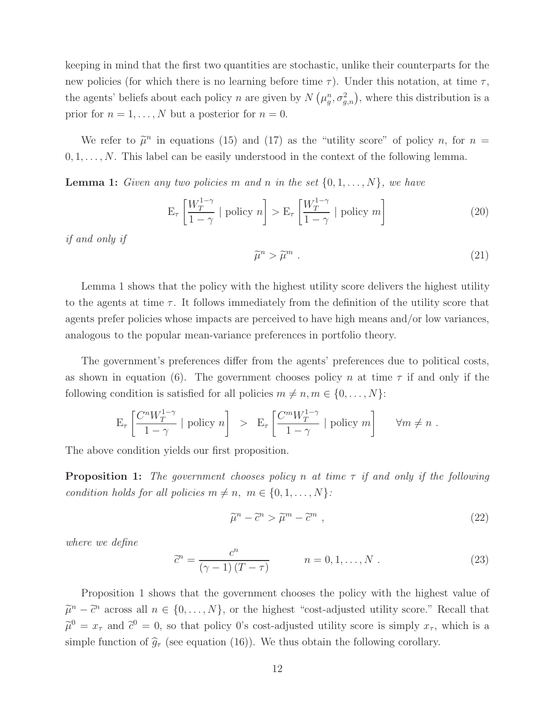keeping in mind that the first two quantities are stochastic, unlike their counterparts for the new policies (for which there is no learning before time  $\tau$ ). Under this notation, at time  $\tau$ , the agents' beliefs about each policy n are given by  $N(\mu_g^n, \sigma_{g,n}^2)$ , where this distribution is a prior for  $n = 1, \ldots, N$  but a posterior for  $n = 0$ .

We refer to  $\tilde{\mu}^n$  in equations (15) and (17) as the "utility score" of policy n, for  $n =$  $0, 1, \ldots, N$ . This label can be easily understood in the context of the following lemma.

**Lemma 1:** Given any two policies m and n in the set  $\{0, 1, \ldots, N\}$ , we have

$$
\mathcal{E}_{\tau} \left[ \frac{W_T^{1-\gamma}}{1-\gamma} \mid \text{policy } n \right] > \mathcal{E}_{\tau} \left[ \frac{W_T^{1-\gamma}}{1-\gamma} \mid \text{policy } m \right] \tag{20}
$$

if and only if

$$
\widetilde{\mu}^n > \widetilde{\mu}^m \ . \tag{21}
$$

Lemma 1 shows that the policy with the highest utility score delivers the highest utility to the agents at time  $\tau$ . It follows immediately from the definition of the utility score that agents prefer policies whose impacts are perceived to have high means and/or low variances, analogous to the popular mean-variance preferences in portfolio theory.

The government's preferences differ from the agents' preferences due to political costs, as shown in equation (6). The government chooses policy n at time  $\tau$  if and only if the following condition is satisfied for all policies  $m \neq n, m \in \{0, \ldots, N\}$ :

$$
\mathcal{E}_{\tau}\left[\frac{C^n W_T^{1-\gamma}}{1-\gamma} \mid \text{policy } n\right] > \mathcal{E}_{\tau}\left[\frac{C^m W_T^{1-\gamma}}{1-\gamma} \mid \text{policy } m\right] \quad \forall m \neq n .
$$

The above condition yields our first proposition.

**Proposition 1:** The government chooses policy n at time  $\tau$  if and only if the following condition holds for all policies  $m \neq n, m \in \{0, 1, ..., N\}$ :

$$
\tilde{\mu}^n - \tilde{c}^n > \tilde{\mu}^m - \tilde{c}^m \tag{22}
$$

where we define

$$
\widetilde{c}^{n} = \frac{c^{n}}{(\gamma - 1)(T - \tau)}
$$
  $n = 0, 1, ..., N$  (23)

Proposition 1 shows that the government chooses the policy with the highest value of  $\tilde{\mu}^n - \tilde{c}^n$  across all  $n \in \{0, ..., N\}$ , or the highest "cost-adjusted utility score." Recall that  $\tilde{\mu}^0 = x_{\tau}$  and  $\tilde{c}^0 = 0$ , so that policy 0's cost-adjusted utility score is simply  $x_{\tau}$ , which is a simple function of  $\hat{g}_{\tau}$  (see equation (16)). We thus obtain the following corollary.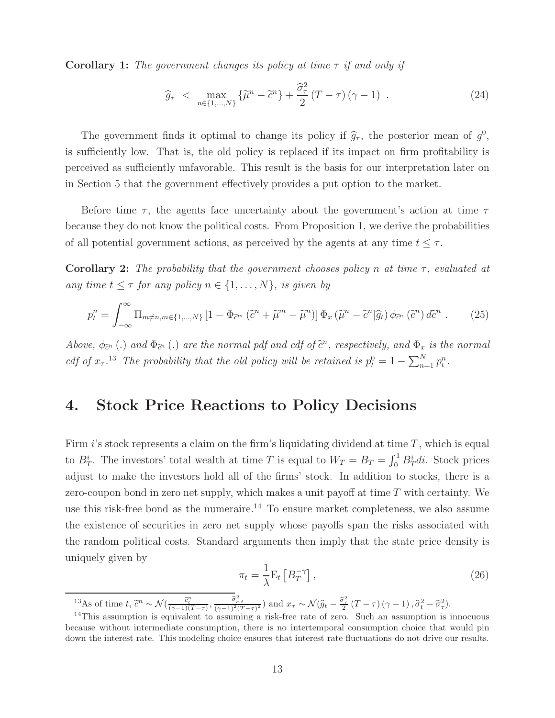**Corollary 1:** The government changes its policy at time  $\tau$  if and only if

$$
\widehat{g}_{\tau} < \max_{n \in \{1, \dots, N\}} \{ \widetilde{\mu}^n - \widetilde{c}^n \} + \frac{\widehat{\sigma}_{\tau}^2}{2} (T - \tau) (\gamma - 1) \tag{24}
$$

The government finds it optimal to change its policy if  $\hat{g}_{\tau}$ , the posterior mean of  $g^0$ , is sufficiently low. That is, the old policy is replaced if its impact on firm profitability is perceived as sufficiently unfavorable. This result is the basis for our interpretation later on in Section 5 that the government effectively provides a put option to the market.

Before time  $\tau$ , the agents face uncertainty about the government's action at time  $\tau$ because they do not know the political costs. From Proposition 1, we derive the probabilities of all potential government actions, as perceived by the agents at any time  $t \leq \tau$ .

**Corollary 2:** The probability that the government chooses policy n at time  $\tau$ , evaluated at any time  $t \leq \tau$  for any policy  $n \in \{1, \ldots, N\}$ , is given by

$$
p_t^n = \int_{-\infty}^{\infty} \Pi_{m \neq n, m \in \{1, \dots, N\}} \left[ 1 - \Phi_{\tilde{c}^m} \left( \tilde{c}^n + \tilde{\mu}^m - \tilde{\mu}^n \right) \right] \Phi_x \left( \tilde{\mu}^n - \tilde{c}^n | \hat{g}_t \right) \phi_{\tilde{c}^n} \left( \tilde{c}^n \right) d\tilde{c}^n \,. \tag{25}
$$

Above,  $\phi_{\tilde{c}^n}$  (.) and  $\Phi_{\tilde{c}^n}$  (.) are the normal pdf and cdf of  $\tilde{c}^n$ , respectively, and  $\Phi_x$  is the normal cdf of  $x_{\tau}$ .<sup>13</sup> The probability that the old policy will be retained is  $p_t^0 = 1 - \sum_{n=1}^{N} p_t^n$ .

# **4. Stock Price Reactions to Policy Decisions**

Firm is stock represents a claim on the firm's liquidating dividend at time  $T$ , which is equal to  $B_T^i$ . The investors' total wealth at time T is equal to  $W_T = B_T = \int_0^1 B_T^i dt$ . Stock prices adjust to make the investors hold all of the firms' stock. In addition to stocks, there is a zero-coupon bond in zero net supply, which makes a unit payoff at time  $T$  with certainty. We use this risk-free bond as the numeraire.<sup>14</sup> To ensure market completeness, we also assume the existence of securities in zero net supply whose payoffs span the risks associated with the random political costs. Standard arguments then imply that the state price density is uniquely given by

$$
\pi_t = \frac{1}{\lambda} \mathcal{E}_t \left[ B_T^{-\gamma} \right],\tag{26}
$$

<sup>13</sup>As of time t,  $\tilde{c}^n \sim \mathcal{N}(\frac{\tilde{c}_t^n}{(\gamma-1)(T-\tau)}, \frac{\tilde{\sigma}_{c,t}^2}{(\gamma-1)^2(T-\tau)^2})$  and  $x_\tau \sim \mathcal{N}(\hat{g}_t - \frac{\tilde{\sigma}_\tau^2}{2}(T-\tau)(\gamma-1), \tilde{\sigma}_t^2 - \tilde{\sigma}_\tau^2)$ .<br><sup>14</sup>This assumption is equivalent to assuming a right free rate of

 $14$ This assumption is equivalent to assuming a risk-free rate of zero. Such an assumption is innocuous because without intermediate consumption, there is no intertemporal consumption choice that would pin down the interest rate. This modeling choice ensures that interest rate fluctuations do not drive our results.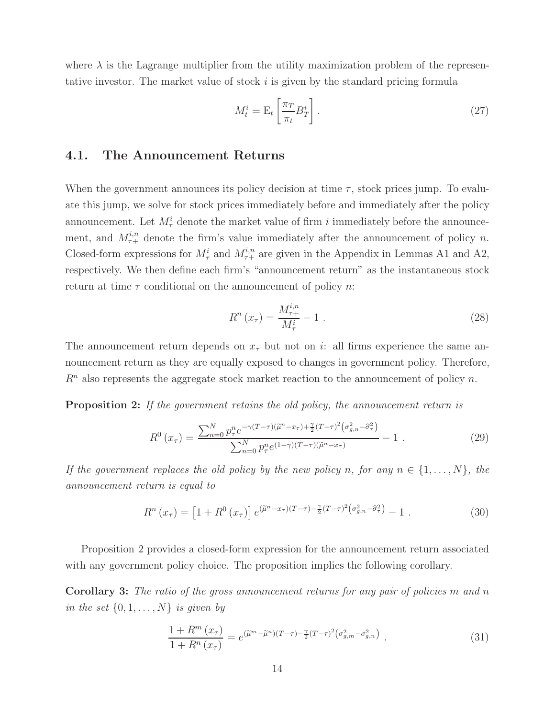where  $\lambda$  is the Lagrange multiplier from the utility maximization problem of the representative investor. The market value of stock i is given by the standard pricing formula

$$
M_t^i = \mathcal{E}_t \left[ \frac{\pi_T}{\pi_t} B_T^i \right]. \tag{27}
$$

### **4.1. The Announcement Returns**

When the government announces its policy decision at time  $\tau$ , stock prices jump. To evaluate this jump, we solve for stock prices immediately before and immediately after the policy announcement. Let  $M_{\tau}^{i}$  denote the market value of firm i immediately before the announcement, and  $M_{\tau+}^{i,n}$  denote the firm's value immediately after the announcement of policy n. Closed-form expressions for  $M_{\tau}^{i}$  and  $M_{\tau+}^{i,n}$  are given in the Appendix in Lemmas A1 and A2, respectively. We then define each firm's "announcement return" as the instantaneous stock return at time  $\tau$  conditional on the announcement of policy n:

$$
R^{n}(x_{\tau}) = \frac{M_{\tau+}^{i,n}}{M_{\tau}^{i}} - 1
$$
 (28)

The announcement return depends on  $x<sub>\tau</sub>$  but not on i: all firms experience the same announcement return as they are equally exposed to changes in government policy. Therefore,  $R<sup>n</sup>$  also represents the aggregate stock market reaction to the announcement of policy n.

**Proposition 2:** If the government retains the old policy, the announcement return is

$$
R^{0}(x_{\tau}) = \frac{\sum_{n=0}^{N} p_{\tau}^{n} e^{-\gamma (T-\tau)(\tilde{\mu}^{n}-x_{\tau}) + \frac{\gamma}{2}(T-\tau)^{2} (\sigma_{g,n}^{2} - \tilde{\sigma}_{\tau}^{2})}}{\sum_{n=0}^{N} p_{\tau}^{n} e^{(1-\gamma)(T-\tau)(\tilde{\mu}^{n}-x_{\tau})}} - 1.
$$
 (29)

If the government replaces the old policy by the new policy n, for any  $n \in \{1,\ldots,N\}$ , the announcement return is equal to

$$
R^{n}(x_{\tau}) = \left[1 + R^{0}(x_{\tau})\right] e^{(\tilde{\mu}^{n} - x_{\tau})(T - \tau) - \frac{\gamma}{2}(T - \tau)^{2} \left(\sigma_{g,n}^{2} - \hat{\sigma}_{\tau}^{2}\right)} - 1.
$$
\n(30)

Proposition 2 provides a closed-form expression for the announcement return associated with any government policy choice. The proposition implies the following corollary.

**Corollary 3:** The ratio of the gross announcement returns for any pair of policies m and n in the set  $\{0, 1, \ldots, N\}$  is given by

$$
\frac{1+R^m(x_{\tau})}{1+R^n(x_{\tau})} = e^{(\tilde{\mu}^m - \tilde{\mu}^n)(T-\tau) - \frac{\gamma}{2}(T-\tau)^2(\sigma_{g,m}^2 - \sigma_{g,n}^2)}.
$$
\n(31)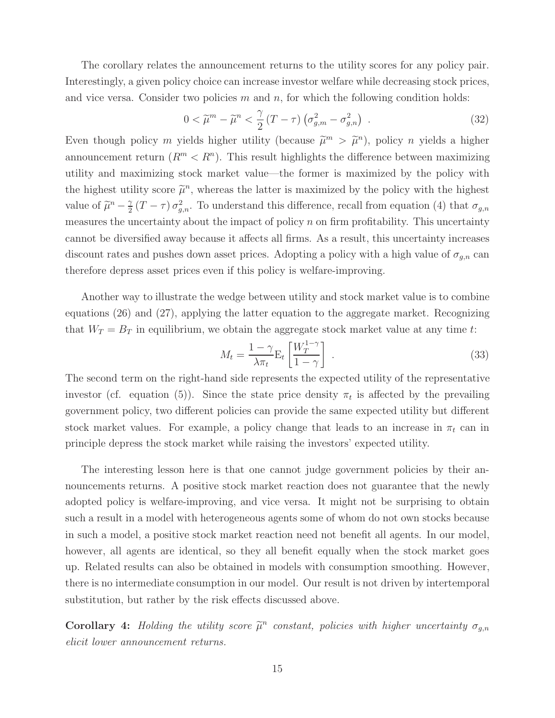The corollary relates the announcement returns to the utility scores for any policy pair. Interestingly, a given policy choice can increase investor welfare while decreasing stock prices, and vice versa. Consider two policies m and n, for which the following condition holds:

$$
0 < \widetilde{\mu}^m - \widetilde{\mu}^n < \frac{\gamma}{2} \left( T - \tau \right) \left( \sigma_{g,m}^2 - \sigma_{g,n}^2 \right) \tag{32}
$$

Even though policy m yields higher utility (because  $\tilde{\mu}^m > \tilde{\mu}^n$ ), policy n yields a higher announcement return  $(R^m < R^n)$ . This result highlights the difference between maximizing utility and maximizing stock market value—the former is maximized by the policy with the highest utility score  $\tilde{\mu}^n$ , whereas the latter is maximized by the policy with the highest value of  $\tilde{\mu}^n - \frac{\gamma}{2}(T - \tau) \sigma_{g,n}^2$ . To understand this difference, recall from equation (4) that  $\sigma_{g,n}$ measures the uncertainty about the impact of policy  $n$  on firm profitability. This uncertainty cannot be diversified away because it affects all firms. As a result, this uncertainty increases discount rates and pushes down asset prices. Adopting a policy with a high value of  $\sigma_{g,n}$  can therefore depress asset prices even if this policy is welfare-improving.

Another way to illustrate the wedge between utility and stock market value is to combine equations (26) and (27), applying the latter equation to the aggregate market. Recognizing that  $W_T = B_T$  in equilibrium, we obtain the aggregate stock market value at any time t:

$$
M_t = \frac{1 - \gamma}{\lambda \pi_t} \mathcal{E}_t \left[ \frac{W_T^{1 - \gamma}}{1 - \gamma} \right] \tag{33}
$$

The second term on the right-hand side represents the expected utility of the representative investor (cf. equation (5)). Since the state price density  $\pi_t$  is affected by the prevailing government policy, two different policies can provide the same expected utility but different stock market values. For example, a policy change that leads to an increase in  $\pi_t$  can in principle depress the stock market while raising the investors' expected utility.

The interesting lesson here is that one cannot judge government policies by their announcements returns. A positive stock market reaction does not guarantee that the newly adopted policy is welfare-improving, and vice versa. It might not be surprising to obtain such a result in a model with heterogeneous agents some of whom do not own stocks because in such a model, a positive stock market reaction need not benefit all agents. In our model, however, all agents are identical, so they all benefit equally when the stock market goes up. Related results can also be obtained in models with consumption smoothing. However, there is no intermediate consumption in our model. Our result is not driven by intertemporal substitution, but rather by the risk effects discussed above.

**Corollary 4:** Holding the utility score  $\tilde{\mu}^n$  constant, policies with higher uncertainty  $\sigma_{g,n}$ elicit lower announcement returns.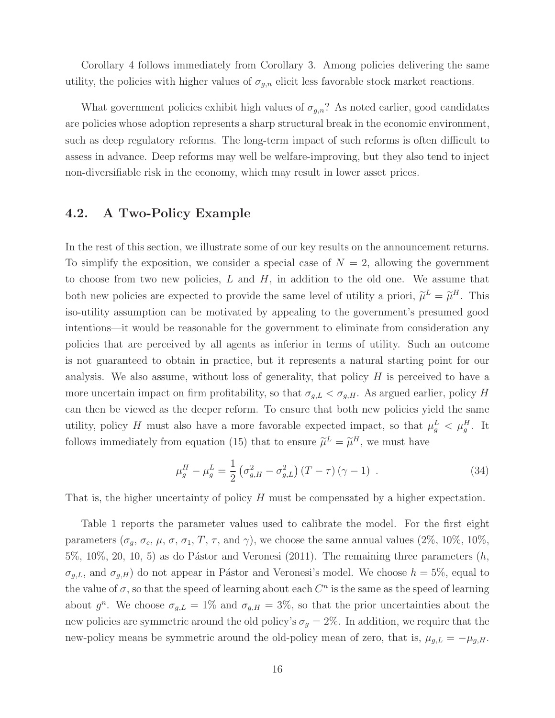Corollary 4 follows immediately from Corollary 3. Among policies delivering the same utility, the policies with higher values of  $\sigma_{g,n}$  elicit less favorable stock market reactions.

What government policies exhibit high values of  $\sigma_{g,n}$ ? As noted earlier, good candidates are policies whose adoption represents a sharp structural break in the economic environment, such as deep regulatory reforms. The long-term impact of such reforms is often difficult to assess in advance. Deep reforms may well be welfare-improving, but they also tend to inject non-diversifiable risk in the economy, which may result in lower asset prices.

### **4.2. A Two-Policy Example**

In the rest of this section, we illustrate some of our key results on the announcement returns. To simplify the exposition, we consider a special case of  $N = 2$ , allowing the government to choose from two new policies,  $L$  and  $H$ , in addition to the old one. We assume that both new policies are expected to provide the same level of utility a priori,  $\tilde{\mu}^L = \tilde{\mu}^H$ . This iso-utility assumption can be motivated by appealing to the government's presumed good intentions—it would be reasonable for the government to eliminate from consideration any policies that are perceived by all agents as inferior in terms of utility. Such an outcome is not guaranteed to obtain in practice, but it represents a natural starting point for our analysis. We also assume, without loss of generality, that policy  $H$  is perceived to have a more uncertain impact on firm profitability, so that  $\sigma_{g,L} < \sigma_{g,H}$ . As argued earlier, policy H can then be viewed as the deeper reform. To ensure that both new policies yield the same utility, policy H must also have a more favorable expected impact, so that  $\mu_g^L < \mu_g^H$ . It follows immediately from equation (15) that to ensure  $\tilde{\mu}^L = \tilde{\mu}^H$ , we must have

$$
\mu_g^H - \mu_g^L = \frac{1}{2} \left( \sigma_{g,H}^2 - \sigma_{g,L}^2 \right) (T - \tau) (\gamma - 1) \tag{34}
$$

That is, the higher uncertainty of policy H must be compensated by a higher expectation.

Table 1 reports the parameter values used to calibrate the model. For the first eight parameters ( $\sigma_g$ ,  $\sigma_c$ ,  $\mu$ ,  $\sigma$ ,  $\sigma_1$ ,  $T$ ,  $\tau$ , and  $\gamma$ ), we choose the same annual values (2%, 10%, 10%,  $5\%, 10\%, 20, 10, 5$  as do Pástor and Veronesi (2011). The remaining three parameters  $(h,$  $\sigma_{g,L}$ , and  $\sigma_{g,H}$ ) do not appear in Pástor and Veronesi's model. We choose  $h = 5\%$ , equal to the value of  $\sigma$ , so that the speed of learning about each  $C^n$  is the same as the speed of learning about  $g^n$ . We choose  $\sigma_{g,L} = 1\%$  and  $\sigma_{g,H} = 3\%$ , so that the prior uncertainties about the new policies are symmetric around the old policy's  $\sigma_g = 2\%$ . In addition, we require that the new-policy means be symmetric around the old-policy mean of zero, that is,  $\mu_{g,L} = -\mu_{g,H}$ .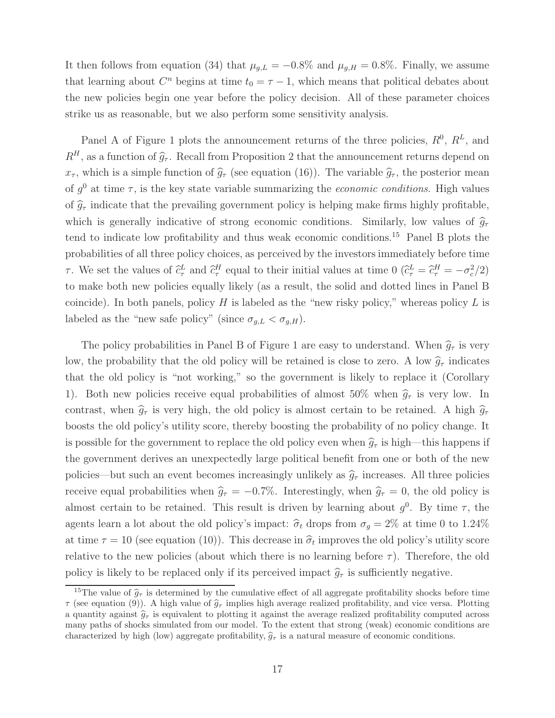It then follows from equation (34) that  $\mu_{g,L} = -0.8\%$  and  $\mu_{g,H} = 0.8\%$ . Finally, we assume that learning about  $C<sup>n</sup>$  begins at time  $t_0 = \tau - 1$ , which means that political debates about the new policies begin one year before the policy decision. All of these parameter choices strike us as reasonable, but we also perform some sensitivity analysis.

Panel A of Figure 1 plots the announcement returns of the three policies,  $R^0$ ,  $R^L$ , and  $R^H$ , as a function of  $\hat{g}_{\tau}$ . Recall from Proposition 2 that the announcement returns depend on  $x_{\tau}$ , which is a simple function of  $\hat{g}_{\tau}$  (see equation (16)). The variable  $\hat{g}_{\tau}$ , the posterior mean of  $g^0$  at time  $\tau$ , is the key state variable summarizing the *economic conditions*. High values of  $\hat{g}_{\tau}$  indicate that the prevailing government policy is helping make firms highly profitable, which is generally indicative of strong economic conditions. Similarly, low values of  $\hat{g}_{\tau}$ tend to indicate low profitability and thus weak economic conditions.<sup>15</sup> Panel B plots the probabilities of all three policy choices, as perceived by the investors immediately before time τ. We set the values of  $\hat{c}^L_\tau$  and  $\hat{c}^H_\tau$  equal to their initial values at time 0  $(\hat{c}^L_\tau = \hat{c}^H_\tau = -\sigma_c^2/2)$ to make both new policies equally likely (as a result, the solid and dotted lines in Panel B coincide). In both panels, policy  $H$  is labeled as the "new risky policy," whereas policy  $L$  is labeled as the "new safe policy" (since  $\sigma_{g,L} < \sigma_{g,H}$ ).

The policy probabilities in Panel B of Figure 1 are easy to understand. When  $\hat{g}_{\tau}$  is very low, the probability that the old policy will be retained is close to zero. A low  $\hat{g}_{\tau}$  indicates that the old policy is "not working," so the government is likely to replace it (Corollary 1). Both new policies receive equal probabilities of almost 50% when  $\hat{q}_{\tau}$  is very low. In contrast, when  $\hat{g}_{\tau}$  is very high, the old policy is almost certain to be retained. A high  $\hat{g}_{\tau}$ boosts the old policy's utility score, thereby boosting the probability of no policy change. It is possible for the government to replace the old policy even when  $\hat{g}_{\tau}$  is high—this happens if the government derives an unexpectedly large political benefit from one or both of the new policies—but such an event becomes increasingly unlikely as  $\hat{g}_{\tau}$  increases. All three policies receive equal probabilities when  $\hat{g}_{\tau} = -0.7\%$ . Interestingly, when  $\hat{g}_{\tau} = 0$ , the old policy is almost certain to be retained. This result is driven by learning about  $g^0$ . By time  $\tau$ , the agents learn a lot about the old policy's impact:  $\hat{\sigma}_t$  drops from  $\sigma_g = 2\%$  at time 0 to 1.24% at time  $\tau = 10$  (see equation (10)). This decrease in  $\hat{\sigma}_t$  improves the old policy's utility score relative to the new policies (about which there is no learning before  $\tau$ ). Therefore, the old policy is likely to be replaced only if its perceived impact  $\hat{g}_{\tau}$  is sufficiently negative.

<sup>&</sup>lt;sup>15</sup>The value of  $\hat{g}_{\tau}$  is determined by the cumulative effect of all aggregate profitability shocks before time  $\tau$  (see equation (9)). A high value of  $\hat{g}_{\tau}$  implies high average realized profitability, and vice versa. Plotting a quantity against  $\hat{g}_{\tau}$  is equivalent to plotting it against the average realized profitability computed across many paths of shocks simulated from our model. To the extent that strong (weak) economic conditions are characterized by high (low) aggregate profitability,  $\hat{g}_{\tau}$  is a natural measure of economic conditions.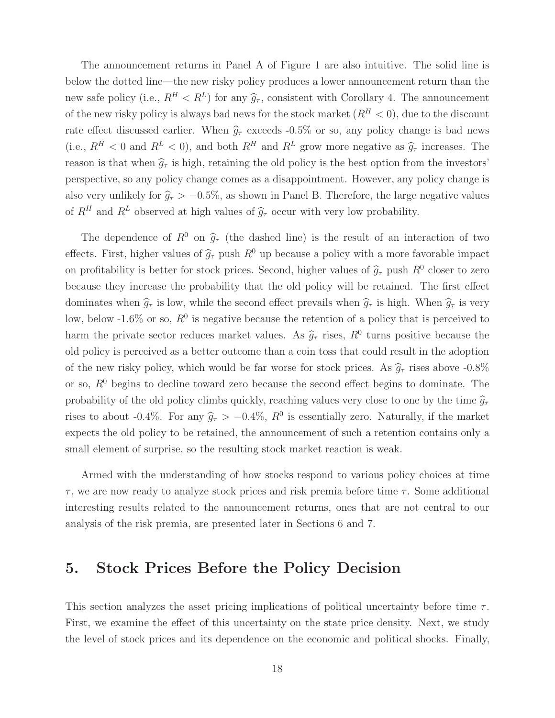The announcement returns in Panel A of Figure 1 are also intuitive. The solid line is below the dotted line—the new risky policy produces a lower announcement return than the new safe policy (i.e.,  $R^H < R^L$ ) for any  $\hat{g}_{\tau}$ , consistent with Corollary 4. The announcement of the new risky policy is always bad news for the stock market  $(R^H < 0)$ , due to the discount rate effect discussed earlier. When  $\hat{g}_{\tau}$  exceeds -0.5% or so, any policy change is bad news (i.e.,  $R^H < 0$  and  $R^L < 0$ ), and both  $R^H$  and  $R^L$  grow more negative as  $\hat{g}_{\tau}$  increases. The reason is that when  $\hat{g}_{\tau}$  is high, retaining the old policy is the best option from the investors' perspective, so any policy change comes as a disappointment. However, any policy change is also very unlikely for  $\hat{g}_{\tau} > -0.5\%$ , as shown in Panel B. Therefore, the large negative values of  $R^H$  and  $R^L$  observed at high values of  $\hat{g}_{\tau}$  occur with very low probability.

The dependence of  $R^0$  on  $\hat{g}_{\tau}$  (the dashed line) is the result of an interaction of two effects. First, higher values of  $\hat{g}_{\tau}$  push  $R^0$  up because a policy with a more favorable impact on profitability is better for stock prices. Second, higher values of  $\hat{g}_{\tau}$  push  $R^0$  closer to zero because they increase the probability that the old policy will be retained. The first effect dominates when  $\hat{g}_{\tau}$  is low, while the second effect prevails when  $\hat{g}_{\tau}$  is high. When  $\hat{g}_{\tau}$  is very low, below -1.6% or so,  $R^0$  is negative because the retention of a policy that is perceived to harm the private sector reduces market values. As  $\hat{g}_{\tau}$  rises,  $R^0$  turns positive because the old policy is perceived as a better outcome than a coin toss that could result in the adoption of the new risky policy, which would be far worse for stock prices. As  $\hat{g}_{\tau}$  rises above -0.8% or so,  $R^0$  begins to decline toward zero because the second effect begins to dominate. The probability of the old policy climbs quickly, reaching values very close to one by the time  $\hat{g}_{\tau}$ rises to about -0.4%. For any  $\hat{g}_{\tau} > -0.4\%$ ,  $R^0$  is essentially zero. Naturally, if the market expects the old policy to be retained, the announcement of such a retention contains only a small element of surprise, so the resulting stock market reaction is weak.

Armed with the understanding of how stocks respond to various policy choices at time  $\tau$ , we are now ready to analyze stock prices and risk premia before time  $\tau$ . Some additional interesting results related to the announcement returns, ones that are not central to our analysis of the risk premia, are presented later in Sections 6 and 7.

## **5. Stock Prices Before the Policy Decision**

This section analyzes the asset pricing implications of political uncertainty before time  $\tau$ . First, we examine the effect of this uncertainty on the state price density. Next, we study the level of stock prices and its dependence on the economic and political shocks. Finally,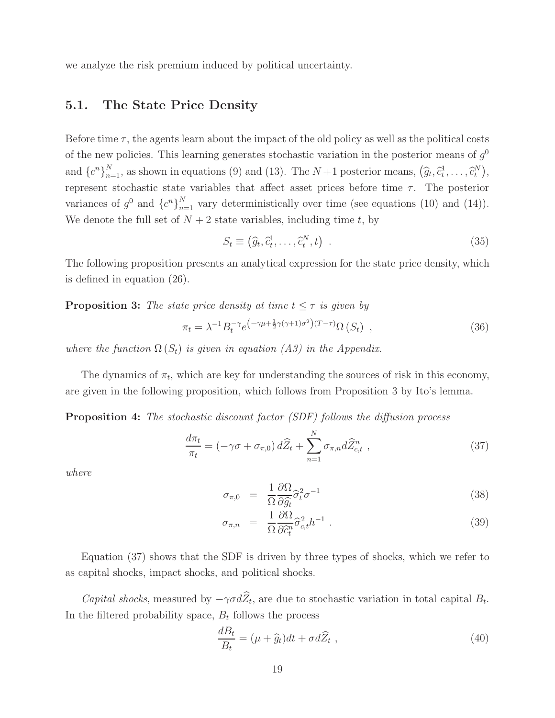we analyze the risk premium induced by political uncertainty.

### **5.1. The State Price Density**

Before time  $\tau$ , the agents learn about the impact of the old policy as well as the political costs of the new policies. This learning generates stochastic variation in the posterior means of  $g<sup>0</sup>$ and  ${c^n}_{n=1}^N$ , as shown in equations (9) and (13). The  $N+1$  posterior means,  $(\widehat{g}_t, \widehat{c}_t^1, \ldots, \widehat{c}_t^N)$ , the represent stochastic state variables that affect asset prices before time  $τ$ . The posterior variances of  $g^0$  and  $\{c^n\}_{n=1}^N$  vary deterministically over time (see equations (10) and (14)). We denote the full set of  $N + 2$  state variables, including time t, by

$$
S_t \equiv (\widehat{g}_t, \widehat{c}_t^1, \dots, \widehat{c}_t^N, t) \tag{35}
$$

The following proposition presents an analytical expression for the state price density, which is defined in equation (26).

### **Proposition 3:** The state price density at time  $t \leq \tau$  is given by

$$
\pi_t = \lambda^{-1} B_t^{-\gamma} e^{\left(-\gamma \mu + \frac{1}{2}\gamma(\gamma + 1)\sigma^2\right)(T - \tau)} \Omega\left(S_t\right) \tag{36}
$$

where the function  $\Omega(S_t)$  is given in equation (A3) in the Appendix.

The dynamics of  $\pi_t$ , which are key for understanding the sources of risk in this economy, are given in the following proposition, which follows from Proposition 3 by Ito's lemma.

**Proposition 4:** The stochastic discount factor *(SDF)* follows the diffusion process

$$
\frac{d\pi_t}{\pi_t} = \left(-\gamma\sigma + \sigma_{\pi,0}\right) d\widehat{Z}_t + \sum_{n=1}^N \sigma_{\pi,n} d\widehat{Z}_{c,t}^n \tag{37}
$$

where

$$
\sigma_{\pi,0} = \frac{1}{\Omega} \frac{\partial \Omega}{\partial \hat{g}_t} \hat{\sigma}_t^2 \sigma^{-1}
$$
\n(38)

$$
\sigma_{\pi,n} = \frac{1}{\Omega} \frac{\partial \Omega}{\partial \hat{c}_t^n} \hat{\sigma}_{c,t}^2 h^{-1} . \qquad (39)
$$

Equation (37) shows that the SDF is driven by three types of shocks, which we refer to as capital shocks, impact shocks, and political shocks.

*Capital shocks*, measured by  $-\gamma \sigma d\hat{Z}_t$ , are due to stochastic variation in total capital  $B_t$ . In the filtered probability space,  $B_t$  follows the process

$$
\frac{dB_t}{B_t} = (\mu + \hat{g}_t)dt + \sigma d\hat{Z}_t ,
$$
\n(40)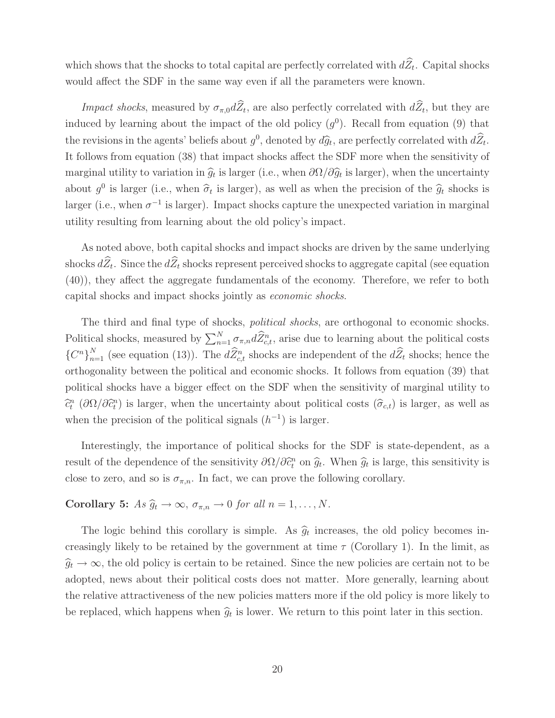which shows that the shocks to total capital are perfectly correlated with  $d\widehat{Z}_t$ . Capital shocks would affect the SDF in the same way even if all the parameters were known.

*Impact shocks*, measured by  $\sigma_{\pi,0}d\widehat{Z}_t$ , are also perfectly correlated with  $d\widehat{Z}_t$ , but they are induced by learning about the impact of the old policy  $(g^0)$ . Recall from equation (9) that the revisions in the agents' beliefs about  $g^0$ , denoted by  $d\hat{g}_t$ , are perfectly correlated with  $d\hat{Z}_t$ . It follows from equation (38) that impact shocks affect the SDF more when the sensitivity of marginal utility to variation in  $\hat{g}_t$  is larger (i.e., when  $\partial\Omega/\partial\hat{g}_t$  is larger), when the uncertainty about  $g^0$  is larger (i.e., when  $\hat{\sigma}_t$  is larger), as well as when the precision of the  $\hat{g}_t$  shocks is larger (i.e., when  $\sigma^{-1}$  is larger). Impact shocks capture the unexpected variation in marginal utility resulting from learning about the old policy's impact.

As noted above, both capital shocks and impact shocks are driven by the same underlying shocks  $d\widehat{Z}_t$ . Since the  $d\widehat{Z}_t$  shocks represent perceived shocks to aggregate capital (see equation (40)), they affect the aggregate fundamentals of the economy. Therefore, we refer to both capital shocks and impact shocks jointly as economic shocks.

The third and final type of shocks, *political shocks*, are orthogonal to economic shocks. Political shocks, measured by  $\sum_{n=1}^{N} \sigma_{\pi,n} d\widehat{Z}_{c,t}^n$ , arise due to learning about the political costs  ${C^n}_{n=1}^N$  (see equation (13)). The  $dZ_t^n$  shocks are independent of the  $dZ_t$  shocks; hence the orthogonality between the political and economic shocks. It follows from equation (39) that political shocks have a bigger effect on the SDF when the sensitivity of marginal utility to  $\hat{c}_t^n$  ( $\partial \Omega/\partial \hat{c}_t^n$ ) is larger, when the uncertainty about political costs  $(\hat{\sigma}_{c,t})$  is larger, as well as when the precision of the political signals  $(h^{-1})$  is larger.

Interestingly, the importance of political shocks for the SDF is state-dependent, as a result of the dependence of the sensitivity  $\partial \Omega / \partial \hat{c}_t^n$  on  $\hat{g}_t$ . When  $\hat{g}_t$  is large, this sensitivity is close to zero, and so is  $\sigma_{\pi,n}$ . In fact, we can prove the following corollary.

**Corollary 5:** As  $\widehat{g}_t \to \infty$ ,  $\sigma_{\pi,n} \to 0$  for all  $n = 1, ..., N$ .

The logic behind this corollary is simple. As  $\hat{g}_t$  increases, the old policy becomes increasingly likely to be retained by the government at time  $\tau$  (Corollary 1). In the limit, as  $\hat{g}_t \to \infty$ , the old policy is certain to be retained. Since the new policies are certain not to be adopted, news about their political costs does not matter. More generally, learning about the relative attractiveness of the new policies matters more if the old policy is more likely to be replaced, which happens when  $\hat{g}_t$  is lower. We return to this point later in this section.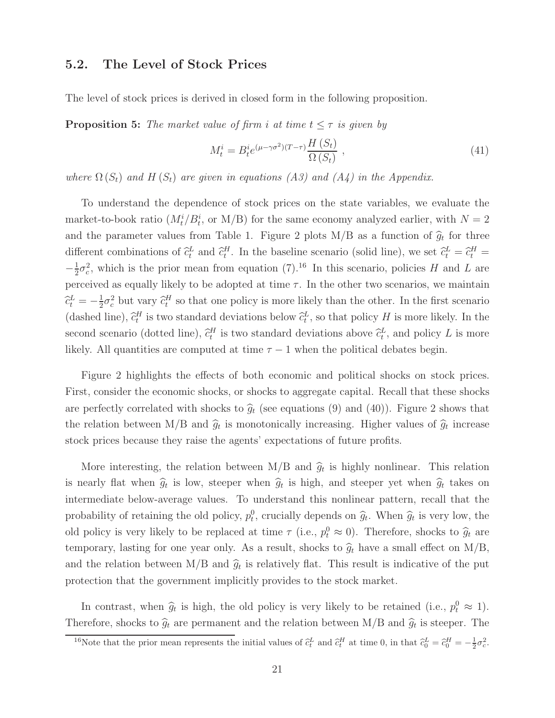#### **5.2. The Level of Stock Prices**

The level of stock prices is derived in closed form in the following proposition.

**Proposition 5:** The market value of firm i at time  $t \leq \tau$  is given by

$$
M_t^i = B_t^i e^{(\mu - \gamma \sigma^2)(T - \tau)} \frac{H(S_t)}{\Omega(S_t)},
$$
\n
$$
(41)
$$

where  $\Omega(S_t)$  and  $H(S_t)$  are given in equations (A3) and (A4) in the Appendix.

To understand the dependence of stock prices on the state variables, we evaluate the market-to-book ratio  $(M_t^i/B_t^i)$ , or  $M/B$  for the same economy analyzed earlier, with  $N = 2$ and the parameter values from Table 1. Figure 2 plots  $M/B$  as a function of  $\hat{g}_t$  for three different combinations of  $\hat{c}_t^L$  and  $\hat{c}_t^H$ . In the baseline scenario (solid line), we set  $\hat{c}_t^L = \hat{c}_t^H =$  $-\frac{1}{2}\sigma_c^2$ , which is the prior mean from equation (7).<sup>16</sup> In this scenario, policies H and L are perceived as equally likely to be adopted at time  $\tau$ . In the other two scenarios, we maintain  $\hat{c}_t^L = -\frac{1}{2}\sigma_c^2$  but vary  $\hat{c}_t^H$  so that one policy is more likely than the other. In the first scenario (dashed line),  $\hat{c}_t^H$  is two standard deviations below  $\hat{c}_t^L$ , so that policy H is more likely. In the second scenario (dotted line),  $\hat{c}_t^H$  is two standard deviations above  $\hat{c}_t^L$ , and policy L is more likely. All quantities are computed at time  $\tau - 1$  when the political debates begin.

Figure 2 highlights the effects of both economic and political shocks on stock prices. First, consider the economic shocks, or shocks to aggregate capital. Recall that these shocks are perfectly correlated with shocks to  $\hat{g}_t$  (see equations (9) and (40)). Figure 2 shows that the relation between M/B and  $\hat{g}_t$  is monotonically increasing. Higher values of  $\hat{g}_t$  increase stock prices because they raise the agents' expectations of future profits.

More interesting, the relation between  $M/B$  and  $\hat{g}_t$  is highly nonlinear. This relation is nearly flat when  $\hat{g}_t$  is low, steeper when  $\hat{g}_t$  is high, and steeper yet when  $\hat{g}_t$  takes on intermediate below-average values. To understand this nonlinear pattern, recall that the probability of retaining the old policy,  $p_t^0$ , crucially depends on  $\hat{g}_t$ . When  $\hat{g}_t$  is very low, the old policy is very likely to be replaced at time  $\tau$  (i.e.,  $p_t^0 \approx 0$ ). Therefore, shocks to  $\hat{g}_t$  are temporary, lasting for one year only. As a result, shocks to  $\hat{g}_t$  have a small effect on M/B, and the relation between M/B and  $\hat{g}_t$  is relatively flat. This result is indicative of the put protection that the government implicitly provides to the stock market.

In contrast, when  $\hat{g}_t$  is high, the old policy is very likely to be retained (i.e.,  $p_t^0 \approx 1$ ). Therefore, shocks to  $\hat{g}_t$  are permanent and the relation between M/B and  $\hat{g}_t$  is steeper. The

<sup>&</sup>lt;sup>16</sup>Note that the prior mean represents the initial values of  $\hat{c}_t^L$  and  $\hat{c}_t^H$  at time 0, in that  $\hat{c}_0^L = \hat{c}_0^H = -\frac{1}{2}\sigma_c^2$ .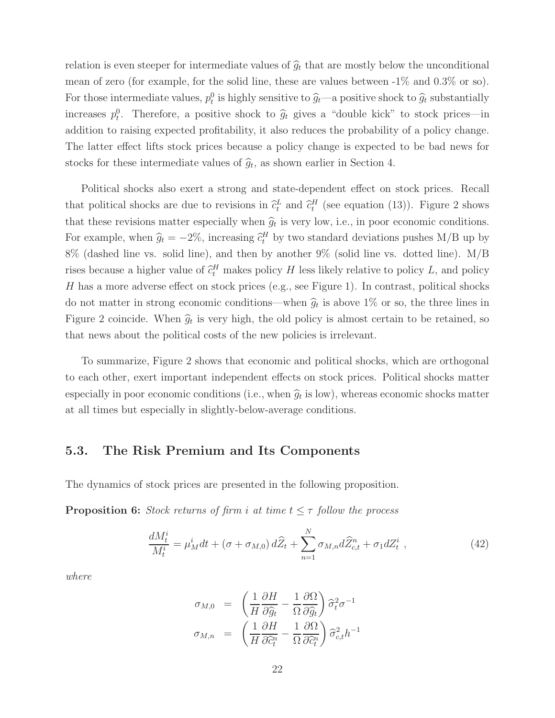relation is even steeper for intermediate values of  $\hat{g}_t$  that are mostly below the unconditional mean of zero (for example, for the solid line, these are values between -1% and 0.3% or so). For those intermediate values,  $p_t^0$  is highly sensitive to  $\hat{g}_t$ —a positive shock to  $\hat{g}_t$  substantially increases  $p_t^0$ . Therefore, a positive shock to  $\hat{g}_t$  gives a "double kick" to stock prices—in addition to raising expected profitability, it also reduces the probability of a policy change. The latter effect lifts stock prices because a policy change is expected to be bad news for stocks for these intermediate values of  $\hat{g}_t$ , as shown earlier in Section 4.

Political shocks also exert a strong and state-dependent effect on stock prices. Recall that political shocks are due to revisions in  $\hat{c}_t^L$  and  $\hat{c}_t^H$  (see equation (13)). Figure 2 shows that these revisions matter especially when  $\hat{g}_t$  is very low, i.e., in poor economic conditions. For example, when  $\hat{g}_t = -2\%$ , increasing  $\hat{c}_t^H$  by two standard deviations pushes M/B up by  $\hat{c}_t^H$ 8% (dashed line vs. solid line), and then by another 9% (solid line vs. dotted line). M/B rises because a higher value of  $\hat{c}_t^H$  makes policy H less likely relative to policy L, and policy H has a more adverse effect on stock prices (e.g., see Figure 1). In contrast, political shocks do not matter in strong economic conditions—when  $\hat{g}_t$  is above 1% or so, the three lines in Figure 2 coincide. When  $\hat{g}_t$  is very high, the old policy is almost certain to be retained, so that news about the political costs of the new policies is irrelevant.

To summarize, Figure 2 shows that economic and political shocks, which are orthogonal to each other, exert important independent effects on stock prices. Political shocks matter especially in poor economic conditions (i.e., when  $\hat{q}_t$  is low), whereas economic shocks matter at all times but especially in slightly-below-average conditions.

### **5.3. The Risk Premium and Its Components**

The dynamics of stock prices are presented in the following proposition.

**Proposition 6:** Stock returns of firm i at time  $t \leq \tau$  follow the process

$$
\frac{dM_t^i}{M_t^i} = \mu_M^i dt + (\sigma + \sigma_{M,0}) d\widehat{Z}_t + \sum_{n=1}^N \sigma_{M,n} d\widehat{Z}_{c,t}^n + \sigma_1 dZ_t^i , \qquad (42)
$$

where

$$
\sigma_{M,0} = \left(\frac{1}{H}\frac{\partial H}{\partial \hat{g}_t} - \frac{1}{\Omega}\frac{\partial \Omega}{\partial \hat{g}_t}\right)\hat{\sigma}_t^2 \sigma^{-1}
$$

$$
\sigma_{M,n} = \left(\frac{1}{H}\frac{\partial H}{\partial \hat{c}_t^n} - \frac{1}{\Omega}\frac{\partial \Omega}{\partial \hat{c}_t^n}\right)\hat{\sigma}_{c,t}^2 h^{-1}
$$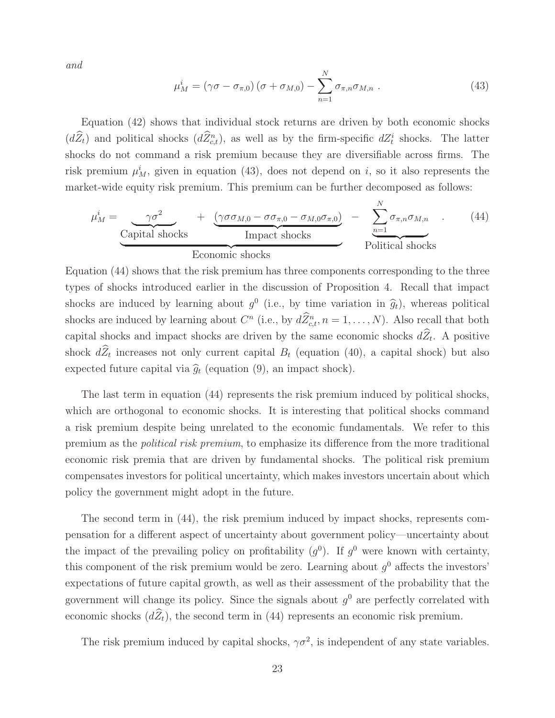and

$$
\mu_M^i = (\gamma \sigma - \sigma_{\pi,0}) (\sigma + \sigma_{M,0}) - \sum_{n=1}^N \sigma_{\pi,n} \sigma_{M,n} . \qquad (43)
$$

Equation (42) shows that individual stock returns are driven by both economic shocks  $(dZ_t)$  and political shocks  $(dZ_{c,t}^n)$ , as well as by the firm-specific  $dZ_t^i$  shocks. The latter shocks do not command a risk premium because they are diversifiable across firms. The risk premium  $\mu_M^i$ , given in equation (43), does not depend on i, so it also represents the market-wide equity risk premium. This premium can be further decomposed as follows:

$$
\mu_M^i = \underbrace{\gamma \sigma^2}_{\text{Capital shocks}} + \underbrace{(\gamma \sigma \sigma_{M,0} - \sigma \sigma_{\pi,0} - \sigma_{M,0} \sigma_{\pi,0})}_{\text{Impact shocks}} - \underbrace{\sum_{n=1}^N \sigma_{\pi,n} \sigma_{M,n}}_{\text{ Political shocks}}.
$$
\n(44)

Equation (44) shows that the risk premium has three components corresponding to the three types of shocks introduced earlier in the discussion of Proposition 4. Recall that impact shocks are induced by learning about  $q^0$  (i.e., by time variation in  $\hat{q}_t$ ), whereas political shocks are induced by learning about  $C^n$  (i.e., by  $dZ_{c,t}^n$ ,  $n = 1, \ldots, N$ ). Also recall that both capital shocks and impact shocks are driven by the same economic shocks  $d\widehat{Z}_t$ . A positive shock  $d\widehat{Z}_t$  increases not only current capital  $B_t$  (equation (40), a capital shock) but also expected future capital via  $\hat{g}_t$  (equation (9), an impact shock).

The last term in equation (44) represents the risk premium induced by political shocks, which are orthogonal to economic shocks. It is interesting that political shocks command a risk premium despite being unrelated to the economic fundamentals. We refer to this premium as the political risk premium, to emphasize its difference from the more traditional economic risk premia that are driven by fundamental shocks. The political risk premium compensates investors for political uncertainty, which makes investors uncertain about which policy the government might adopt in the future.

The second term in (44), the risk premium induced by impact shocks, represents compensation for a different aspect of uncertainty about government policy—uncertainty about the impact of the prevailing policy on profitability  $(q^0)$ . If  $q^0$  were known with certainty, this component of the risk premium would be zero. Learning about  $q<sup>0</sup>$  affects the investors' expectations of future capital growth, as well as their assessment of the probability that the government will change its policy. Since the signals about  $g^0$  are perfectly correlated with economic shocks  $(d\widehat{Z}_t)$ , the second term in (44) represents an economic risk premium.

The risk premium induced by capital shocks,  $\gamma \sigma^2$ , is independent of any state variables.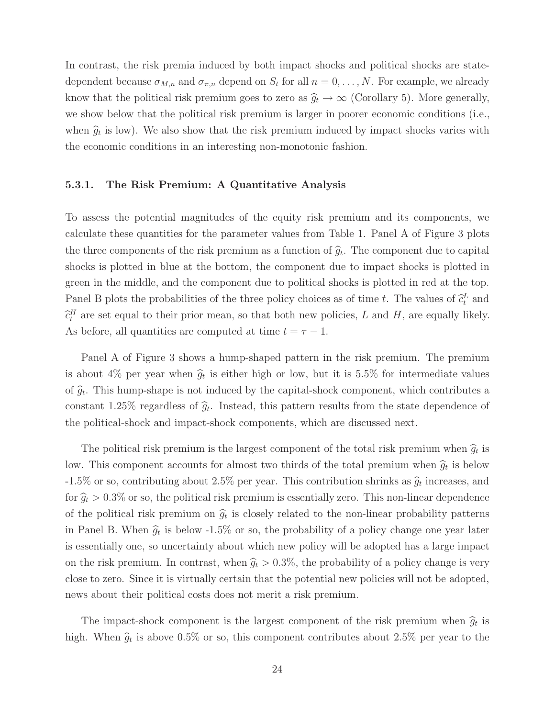In contrast, the risk premia induced by both impact shocks and political shocks are statedependent because  $\sigma_{M,n}$  and  $\sigma_{\pi,n}$  depend on  $S_t$  for all  $n = 0, \ldots, N$ . For example, we already know that the political risk premium goes to zero as  $\hat{g}_t \to \infty$  (Corollary 5). More generally, we show below that the political risk premium is larger in poorer economic conditions (i.e., when  $\hat{g}_t$  is low). We also show that the risk premium induced by impact shocks varies with the economic conditions in an interesting non-monotonic fashion.

#### **5.3.1. The Risk Premium: A Quantitative Analysis**

To assess the potential magnitudes of the equity risk premium and its components, we calculate these quantities for the parameter values from Table 1. Panel A of Figure 3 plots the three components of the risk premium as a function of  $\hat{g}_t$ . The component due to capital shocks is plotted in blue at the bottom, the component due to impact shocks is plotted in green in the middle, and the component due to political shocks is plotted in red at the top. Panel B plots the probabilities of the three policy choices as of time t. The values of  $\hat{c}_t^L$  and  $\hat{c}_t^L$  $\hat{c}_{t}^{H}$  are set equal to their prior mean, so that both new policies, L and H, are equally likely. As before, all quantities are computed at time  $t = \tau - 1$ .

Panel A of Figure 3 shows a hump-shaped pattern in the risk premium. The premium is about 4% per year when  $\hat{g}_t$  is either high or low, but it is 5.5% for intermediate values of  $\hat{g}_t$ . This hump-shape is not induced by the capital-shock component, which contributes a constant 1.25% regardless of  $\hat{g}_t$ . Instead, this pattern results from the state dependence of the political-shock and impact-shock components, which are discussed next.

The political risk premium is the largest component of the total risk premium when  $\hat{g}_t$  is low. This component accounts for almost two thirds of the total premium when  $\hat{g}_t$  is below -1.5% or so, contributing about 2.5% per year. This contribution shrinks as  $\hat{g}_t$  increases, and for  $\hat{g}_t > 0.3\%$  or so, the political risk premium is essentially zero. This non-linear dependence of the political risk premium on  $\hat{g}_t$  is closely related to the non-linear probability patterns in Panel B. When  $\hat{g}_t$  is below -1.5% or so, the probability of a policy change one year later is essentially one, so uncertainty about which new policy will be adopted has a large impact on the risk premium. In contrast, when  $\hat{g}_t > 0.3\%$ , the probability of a policy change is very close to zero. Since it is virtually certain that the potential new policies will not be adopted, news about their political costs does not merit a risk premium.

The impact-shock component is the largest component of the risk premium when  $\hat{g}_t$  is high. When  $\hat{g}_t$  is above 0.5% or so, this component contributes about 2.5% per year to the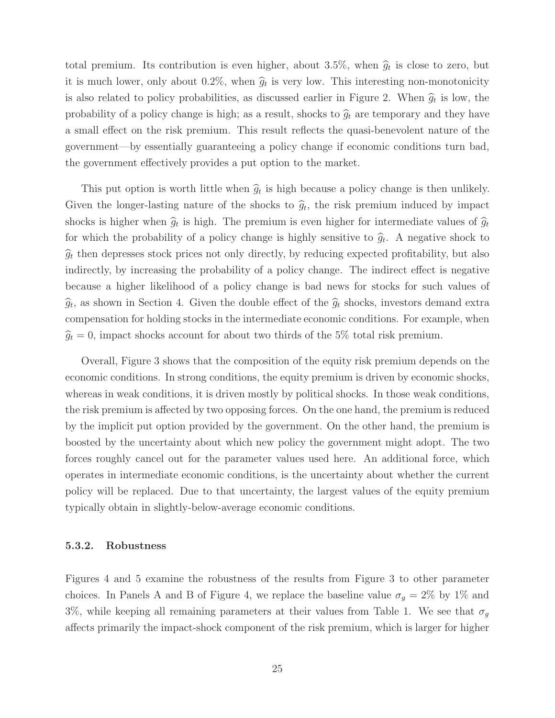total premium. Its contribution is even higher, about 3.5%, when  $\hat{g}_t$  is close to zero, but it is much lower, only about 0.2%, when  $\hat{g}_t$  is very low. This interesting non-monotonicity is also related to policy probabilities, as discussed earlier in Figure 2. When  $\hat{g}_t$  is low, the probability of a policy change is high; as a result, shocks to  $\hat{g}_t$  are temporary and they have a small effect on the risk premium. This result reflects the quasi-benevolent nature of the government—by essentially guaranteeing a policy change if economic conditions turn bad, the government effectively provides a put option to the market.

This put option is worth little when  $\hat{g}_t$  is high because a policy change is then unlikely. Given the longer-lasting nature of the shocks to  $\hat{g}_t$ , the risk premium induced by impact shocks is higher when  $\hat{g}_t$  is high. The premium is even higher for intermediate values of  $\hat{g}_t$ for which the probability of a policy change is highly sensitive to  $\hat{g}_t$ . A negative shock to  $\hat{g}_t$  then depresses stock prices not only directly, by reducing expected profitability, but also indirectly, by increasing the probability of a policy change. The indirect effect is negative because a higher likelihood of a policy change is bad news for stocks for such values of  $\widehat{g}_t$ , as shown in Section 4. Given the double effect of the  $\widehat{g}_t$  shocks, investors demand extra compensation for holding stocks in the intermediate economic conditions. For example, when  $\hat{g}_t = 0$ , impact shocks account for about two thirds of the 5% total risk premium.

Overall, Figure 3 shows that the composition of the equity risk premium depends on the economic conditions. In strong conditions, the equity premium is driven by economic shocks, whereas in weak conditions, it is driven mostly by political shocks. In those weak conditions, the risk premium is affected by two opposing forces. On the one hand, the premium is reduced by the implicit put option provided by the government. On the other hand, the premium is boosted by the uncertainty about which new policy the government might adopt. The two forces roughly cancel out for the parameter values used here. An additional force, which operates in intermediate economic conditions, is the uncertainty about whether the current policy will be replaced. Due to that uncertainty, the largest values of the equity premium typically obtain in slightly-below-average economic conditions.

#### **5.3.2. Robustness**

Figures 4 and 5 examine the robustness of the results from Figure 3 to other parameter choices. In Panels A and B of Figure 4, we replace the baseline value  $\sigma_g = 2\%$  by 1% and 3%, while keeping all remaining parameters at their values from Table 1. We see that  $\sigma_g$ affects primarily the impact-shock component of the risk premium, which is larger for higher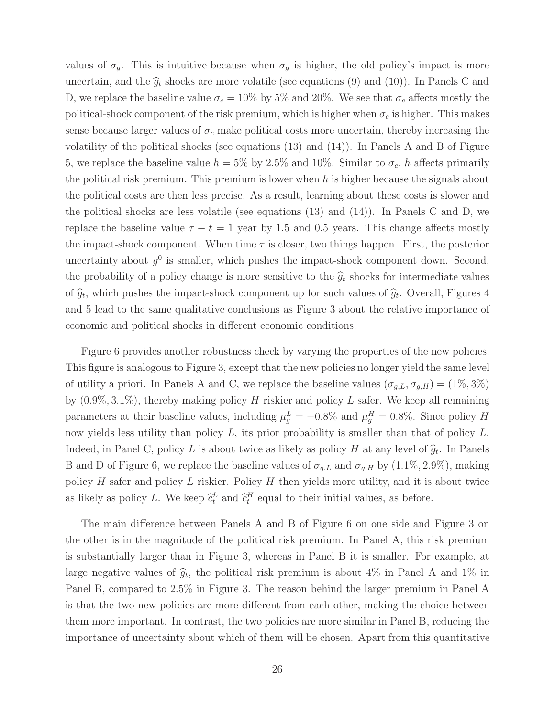values of  $\sigma_g$ . This is intuitive because when  $\sigma_g$  is higher, the old policy's impact is more uncertain, and the  $\hat{g}_t$  shocks are more volatile (see equations (9) and (10)). In Panels C and D, we replace the baseline value  $\sigma_c = 10\%$  by 5% and 20%. We see that  $\sigma_c$  affects mostly the political-shock component of the risk premium, which is higher when  $\sigma_c$  is higher. This makes sense because larger values of  $\sigma_c$  make political costs more uncertain, thereby increasing the volatility of the political shocks (see equations (13) and (14)). In Panels A and B of Figure 5, we replace the baseline value  $h = 5\%$  by 2.5% and 10%. Similar to  $\sigma_c$ , h affects primarily the political risk premium. This premium is lower when  $h$  is higher because the signals about the political costs are then less precise. As a result, learning about these costs is slower and the political shocks are less volatile (see equations  $(13)$  and  $(14)$ ). In Panels C and D, we replace the baseline value  $\tau - t = 1$  year by 1.5 and 0.5 years. This change affects mostly the impact-shock component. When time  $\tau$  is closer, two things happen. First, the posterior uncertainty about  $q^0$  is smaller, which pushes the impact-shock component down. Second, the probability of a policy change is more sensitive to the  $\hat{g}_t$  shocks for intermediate values of  $\hat{g}_t$ , which pushes the impact-shock component up for such values of  $\hat{g}_t$ . Overall, Figures 4 and 5 lead to the same qualitative conclusions as Figure 3 about the relative importance of economic and political shocks in different economic conditions.

Figure 6 provides another robustness check by varying the properties of the new policies. This figure is analogous to Figure 3, except that the new policies no longer yield the same level of utility a priori. In Panels A and C, we replace the baseline values  $(\sigma_{g,L}, \sigma_{g,H}) = (1\%, 3\%)$ by  $(0.9\%, 3.1\%)$ , thereby making policy H riskier and policy L safer. We keep all remaining parameters at their baseline values, including  $\mu_g^L = -0.8\%$  and  $\mu_g^H = 0.8\%$ . Since policy H now yields less utility than policy L, its prior probability is smaller than that of policy L. Indeed, in Panel C, policy L is about twice as likely as policy H at any level of  $\hat{g}_t$ . In Panels B and D of Figure 6, we replace the baseline values of  $\sigma_{g,L}$  and  $\sigma_{g,H}$  by  $(1.1\%, 2.9\%)$ , making policy  $H$  safer and policy  $L$  riskier. Policy  $H$  then yields more utility, and it is about twice as likely as policy L. We keep  $\hat{c}_t^L$  and  $\hat{c}_t^H$  equal to their initial values, as before.

The main difference between Panels A and B of Figure 6 on one side and Figure 3 on the other is in the magnitude of the political risk premium. In Panel A, this risk premium is substantially larger than in Figure 3, whereas in Panel B it is smaller. For example, at large negative values of  $\hat{g}_t$ , the political risk premium is about 4% in Panel A and 1% in Panel B, compared to 2.5% in Figure 3. The reason behind the larger premium in Panel A is that the two new policies are more different from each other, making the choice between them more important. In contrast, the two policies are more similar in Panel B, reducing the importance of uncertainty about which of them will be chosen. Apart from this quantitative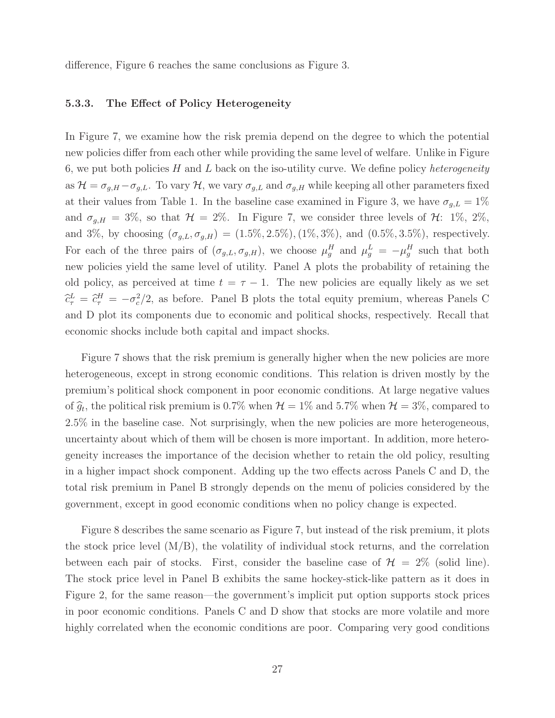difference, Figure 6 reaches the same conclusions as Figure 3.

#### **5.3.3. The Effect of Policy Heterogeneity**

In Figure 7, we examine how the risk premia depend on the degree to which the potential new policies differ from each other while providing the same level of welfare. Unlike in Figure 6, we put both policies  $H$  and  $L$  back on the iso-utility curve. We define policy *heterogeneity* as  $\mathcal{H} = \sigma_{g,H} - \sigma_{g,L}$ . To vary  $\mathcal{H}$ , we vary  $\sigma_{g,L}$  and  $\sigma_{g,H}$  while keeping all other parameters fixed at their values from Table 1. In the baseline case examined in Figure 3, we have  $\sigma_{g,L} = 1\%$ and  $\sigma_{g,H} = 3\%$ , so that  $\mathcal{H} = 2\%$ . In Figure 7, we consider three levels of  $\mathcal{H}$ : 1%, 2%, and 3%, by choosing  $(\sigma_{g,L}, \sigma_{g,H}) = (1.5\%, 2.5\%), (1\%, 3\%)$ , and  $(0.5\%, 3.5\%)$ , respectively. For each of the three pairs of  $(\sigma_{g,L}, \sigma_{g,H})$ , we choose  $\mu_g^H$  and  $\mu_g^L = -\mu_g^H$  such that both new policies yield the same level of utility. Panel A plots the probability of retaining the old policy, as perceived at time  $t = \tau - 1$ . The new policies are equally likely as we set  $\hat{c}_{\tau}^{L} = \hat{c}_{\tau}^{H} = -\sigma_c^2/2$ , as before. Panel B plots the total equity premium, whereas Panels C and D plot its components due to economic and political shocks, respectively. Recall that economic shocks include both capital and impact shocks.

Figure 7 shows that the risk premium is generally higher when the new policies are more heterogeneous, except in strong economic conditions. This relation is driven mostly by the premium's political shock component in poor economic conditions. At large negative values of  $\hat{g}_t$ , the political risk premium is 0.7% when  $\mathcal{H} = 1\%$  and 5.7% when  $\mathcal{H} = 3\%$ , compared to 2.5% in the baseline case. Not surprisingly, when the new policies are more heterogeneous, uncertainty about which of them will be chosen is more important. In addition, more heterogeneity increases the importance of the decision whether to retain the old policy, resulting in a higher impact shock component. Adding up the two effects across Panels C and D, the total risk premium in Panel B strongly depends on the menu of policies considered by the government, except in good economic conditions when no policy change is expected.

Figure 8 describes the same scenario as Figure 7, but instead of the risk premium, it plots the stock price level  $(M/B)$ , the volatility of individual stock returns, and the correlation between each pair of stocks. First, consider the baseline case of  $\mathcal{H} = 2\%$  (solid line). The stock price level in Panel B exhibits the same hockey-stick-like pattern as it does in Figure 2, for the same reason—the government's implicit put option supports stock prices in poor economic conditions. Panels C and D show that stocks are more volatile and more highly correlated when the economic conditions are poor. Comparing very good conditions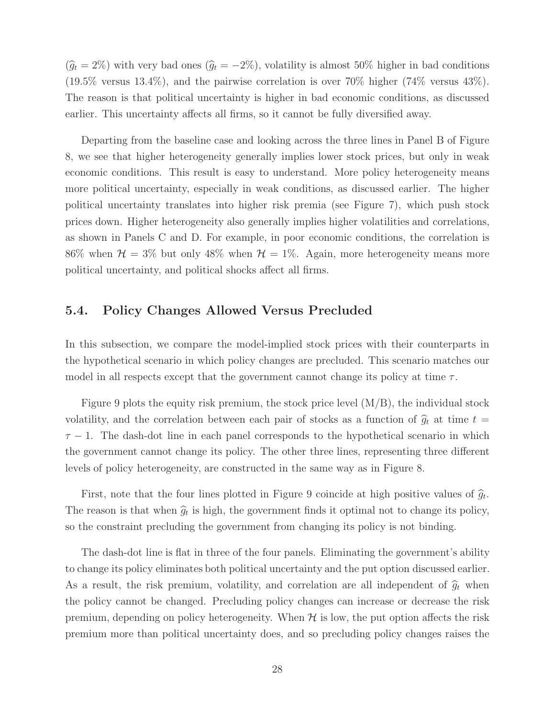$(\hat{g}_t = 2\%)$  with very bad ones  $(\hat{g}_t = -2\%)$ , volatility is almost 50% higher in bad conditions  $(19.5\%$  versus  $13.4\%)$ , and the pairwise correlation is over 70% higher  $(74\%$  versus  $43\%)$ . The reason is that political uncertainty is higher in bad economic conditions, as discussed earlier. This uncertainty affects all firms, so it cannot be fully diversified away.

Departing from the baseline case and looking across the three lines in Panel B of Figure 8, we see that higher heterogeneity generally implies lower stock prices, but only in weak economic conditions. This result is easy to understand. More policy heterogeneity means more political uncertainty, especially in weak conditions, as discussed earlier. The higher political uncertainty translates into higher risk premia (see Figure 7), which push stock prices down. Higher heterogeneity also generally implies higher volatilities and correlations, as shown in Panels C and D. For example, in poor economic conditions, the correlation is 86% when  $\mathcal{H} = 3\%$  but only 48% when  $\mathcal{H} = 1\%$ . Again, more heterogeneity means more political uncertainty, and political shocks affect all firms.

### **5.4. Policy Changes Allowed Versus Precluded**

In this subsection, we compare the model-implied stock prices with their counterparts in the hypothetical scenario in which policy changes are precluded. This scenario matches our model in all respects except that the government cannot change its policy at time  $\tau$ .

Figure 9 plots the equity risk premium, the stock price level (M/B), the individual stock volatility, and the correlation between each pair of stocks as a function of  $\hat{g}_t$  at time  $t =$  $\tau$  − 1. The dash-dot line in each panel corresponds to the hypothetical scenario in which the government cannot change its policy. The other three lines, representing three different levels of policy heterogeneity, are constructed in the same way as in Figure 8.

First, note that the four lines plotted in Figure 9 coincide at high positive values of  $\hat{q}_t$ . The reason is that when  $\hat{g}_t$  is high, the government finds it optimal not to change its policy, so the constraint precluding the government from changing its policy is not binding.

The dash-dot line is flat in three of the four panels. Eliminating the government's ability to change its policy eliminates both political uncertainty and the put option discussed earlier. As a result, the risk premium, volatility, and correlation are all independent of  $\hat{g}_t$  when the policy cannot be changed. Precluding policy changes can increase or decrease the risk premium, depending on policy heterogeneity. When  $H$  is low, the put option affects the risk premium more than political uncertainty does, and so precluding policy changes raises the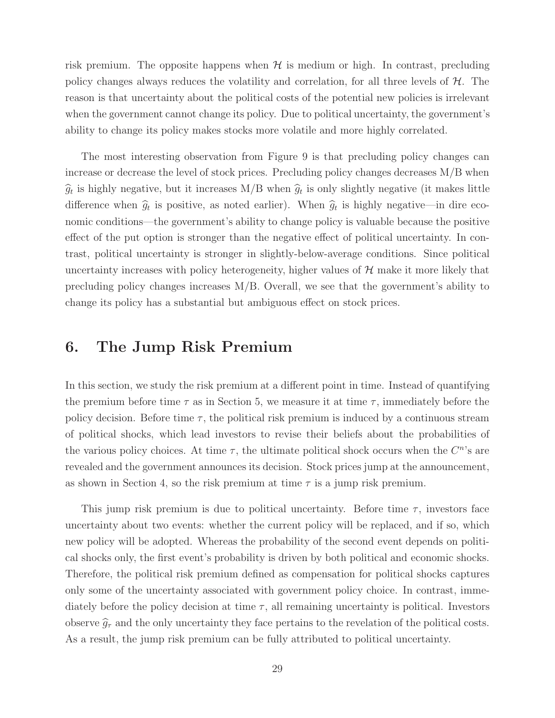risk premium. The opposite happens when  $H$  is medium or high. In contrast, precluding policy changes always reduces the volatility and correlation, for all three levels of  $H$ . The reason is that uncertainty about the political costs of the potential new policies is irrelevant when the government cannot change its policy. Due to political uncertainty, the government's ability to change its policy makes stocks more volatile and more highly correlated.

The most interesting observation from Figure 9 is that precluding policy changes can increase or decrease the level of stock prices. Precluding policy changes decreases M/B when  $\hat{g}_t$  is highly negative, but it increases M/B when  $\hat{g}_t$  is only slightly negative (it makes little difference when  $\hat{g}_t$  is positive, as noted earlier). When  $\hat{g}_t$  is highly negative—in dire economic conditions—the government's ability to change policy is valuable because the positive effect of the put option is stronger than the negative effect of political uncertainty. In contrast, political uncertainty is stronger in slightly-below-average conditions. Since political uncertainty increases with policy heterogeneity, higher values of  $H$  make it more likely that precluding policy changes increases M/B. Overall, we see that the government's ability to change its policy has a substantial but ambiguous effect on stock prices.

# **6. The Jump Risk Premium**

In this section, we study the risk premium at a different point in time. Instead of quantifying the premium before time  $\tau$  as in Section 5, we measure it at time  $\tau$ , immediately before the policy decision. Before time  $\tau$ , the political risk premium is induced by a continuous stream of political shocks, which lead investors to revise their beliefs about the probabilities of the various policy choices. At time  $\tau$ , the ultimate political shock occurs when the  $C<sup>n</sup>$ 's are revealed and the government announces its decision. Stock prices jump at the announcement, as shown in Section 4, so the risk premium at time  $\tau$  is a jump risk premium.

This jump risk premium is due to political uncertainty. Before time  $\tau$ , investors face uncertainty about two events: whether the current policy will be replaced, and if so, which new policy will be adopted. Whereas the probability of the second event depends on political shocks only, the first event's probability is driven by both political and economic shocks. Therefore, the political risk premium defined as compensation for political shocks captures only some of the uncertainty associated with government policy choice. In contrast, immediately before the policy decision at time  $\tau$ , all remaining uncertainty is political. Investors observe  $\hat{g}_{\tau}$  and the only uncertainty they face pertains to the revelation of the political costs. As a result, the jump risk premium can be fully attributed to political uncertainty.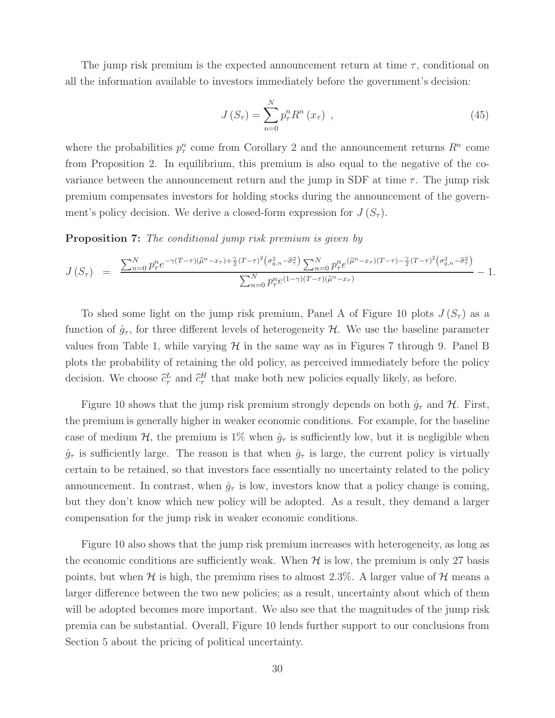The jump risk premium is the expected announcement return at time  $\tau$ , conditional on all the information available to investors immediately before the government's decision:

$$
J\left(S_{\tau}\right) = \sum_{n=0}^{N} p_{\tau}^{n} R^{n}\left(x_{\tau}\right) , \qquad (45)
$$

where the probabilities  $p_{\tau}^{n}$  come from Corollary 2 and the announcement returns  $R^{n}$  come from Proposition 2. In equilibrium, this premium is also equal to the negative of the covariance between the announcement return and the jump in SDF at time  $\tau$ . The jump risk premium compensates investors for holding stocks during the announcement of the government's policy decision. We derive a closed-form expression for  $J(S_\tau)$ .

**Proposition 7:** The conditional jump risk premium is given by

$$
J(S_{\tau}) = \frac{\sum_{n=0}^{N} p_{\tau}^{n} e^{-\gamma (T-\tau)(\tilde{\mu}^{n}-x_{\tau}) + \frac{\gamma}{2}(T-\tau)^{2} (\sigma_{g,n}^{2} - \hat{\sigma}_{\tau}^{2})} \sum_{n=0}^{N} p_{\tau}^{n} e^{(\tilde{\mu}^{n}-x_{\tau})(T-\tau) - \frac{\gamma}{2}(T-\tau)^{2} (\sigma_{g,n}^{2} - \hat{\sigma}_{\tau}^{2})}}{\sum_{n=0}^{N} p_{\tau}^{n} e^{(1-\gamma)(T-\tau)(\tilde{\mu}^{n}-x_{\tau})}} - 1.
$$

To shed some light on the jump risk premium, Panel A of Figure 10 plots  $J(S_\tau)$  as a function of  $\hat{g}_{\tau}$ , for three different levels of heterogeneity H. We use the baseline parameter values from Table 1, while varying  $\mathcal H$  in the same way as in Figures 7 through 9. Panel B plots the probability of retaining the old policy, as perceived immediately before the policy decision. We choose  $\hat{c}_{\tau}^L$  and  $\hat{c}_{\tau}^H$  that make both new policies equally likely, as before.

Figure 10 shows that the jump risk premium strongly depends on both  $\hat{g}_{\tau}$  and  $\mathcal{H}$ . First, the premium is generally higher in weaker economic conditions. For example, for the baseline case of medium H, the premium is 1% when  $\hat{g}_{\tau}$  is sufficiently low, but it is negligible when  $\hat{g}_{\tau}$  is sufficiently large. The reason is that when  $\hat{g}_{\tau}$  is large, the current policy is virtually certain to be retained, so that investors face essentially no uncertainty related to the policy announcement. In contrast, when  $\hat{g}_{\tau}$  is low, investors know that a policy change is coming, but they don't know which new policy will be adopted. As a result, they demand a larger compensation for the jump risk in weaker economic conditions.

Figure 10 also shows that the jump risk premium increases with heterogeneity, as long as the economic conditions are sufficiently weak. When  $H$  is low, the premium is only 27 basis points, but when H is high, the premium rises to almost 2.3%. A larger value of H means a larger difference between the two new policies; as a result, uncertainty about which of them will be adopted becomes more important. We also see that the magnitudes of the jump risk premia can be substantial. Overall, Figure 10 lends further support to our conclusions from Section 5 about the pricing of political uncertainty.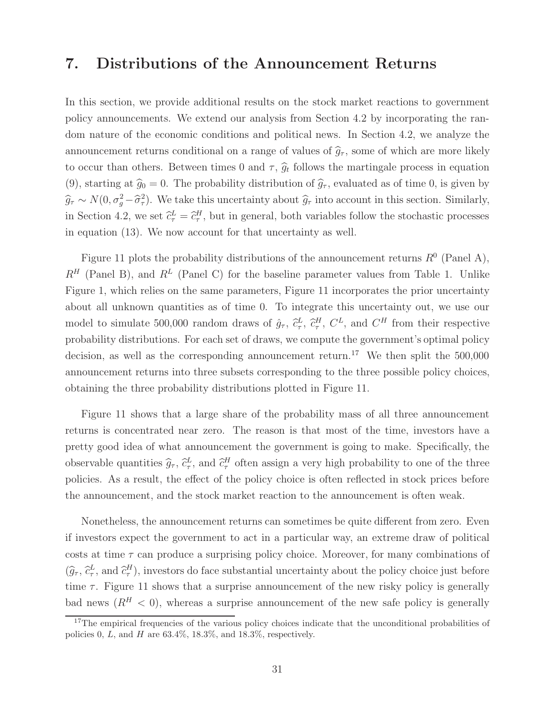# **7. Distributions of the Announcement Returns**

In this section, we provide additional results on the stock market reactions to government policy announcements. We extend our analysis from Section 4.2 by incorporating the random nature of the economic conditions and political news. In Section 4.2, we analyze the announcement returns conditional on a range of values of  $\hat{g}_{\tau}$ , some of which are more likely to occur than others. Between times 0 and  $\tau$ ,  $\hat{g}_t$  follows the martingale process in equation (9), starting at  $\hat{g}_0 = 0$ . The probability distribution of  $\hat{g}_{\tau}$ , evaluated as of time 0, is given by  $\widehat{g}_{\tau} \sim N(0, \sigma_g^2 - \widehat{\sigma}_{\tau}^2)$ . We take this uncertainty about  $\widehat{g}_{\tau}$  into account in this section. Similarly, in Section 4.2, we set  $\hat{c}_{\tau}^L = \hat{c}_{\tau}^H$ , but in general, both variables follow the stochastic processes in equation (13). We now account for that uncertainty as well.

Figure 11 plots the probability distributions of the announcement returns  $R^0$  (Panel A),  $R^H$  (Panel B), and  $R^L$  (Panel C) for the baseline parameter values from Table 1. Unlike Figure 1, which relies on the same parameters, Figure 11 incorporates the prior uncertainty about all unknown quantities as of time 0. To integrate this uncertainty out, we use our model to simulate 500,000 random draws of  $\hat{g}_{\tau}$ ,  $\hat{c}_{\tau}^{L}$ ,  $\hat{c}_{\tau}^{H}$ ,  $C^{L}$ , and  $C^{H}$  from their respective probability distributions. For each set of draws, we compute the government's optimal policy decision, as well as the corresponding announcement return.<sup>17</sup> We then split the  $500,000$ announcement returns into three subsets corresponding to the three possible policy choices, obtaining the three probability distributions plotted in Figure 11.

Figure 11 shows that a large share of the probability mass of all three announcement returns is concentrated near zero. The reason is that most of the time, investors have a pretty good idea of what announcement the government is going to make. Specifically, the observable quantities  $\hat{g}_{\tau}$ ,  $\hat{c}_{\tau}^{L}$ , and  $\hat{c}_{\tau}^{H}$  often assign a very high probability to one of the three policies. As a result, the effect of the policy choice is often reflected in stock prices before the announcement, and the stock market reaction to the announcement is often weak.

Nonetheless, the announcement returns can sometimes be quite different from zero. Even if investors expect the government to act in a particular way, an extreme draw of political costs at time  $\tau$  can produce a surprising policy choice. Moreover, for many combinations of  $(\widehat{g}_{\tau}, \widehat{c}_{\tau}^L, \text{ and } \widehat{c}_{\tau}^H)$ , investors do face substantial uncertainty about the policy choice just before time  $\tau$ . Figure 11 shows that a surprise announcement of the new risky policy is generally bad news  $(R^H < 0)$ , whereas a surprise announcement of the new safe policy is generally

<sup>&</sup>lt;sup>17</sup>The empirical frequencies of the various policy choices indicate that the unconditional probabilities of policies 0, L, and H are  $63.4\%$ ,  $18.3\%$ , and  $18.3\%$ , respectively.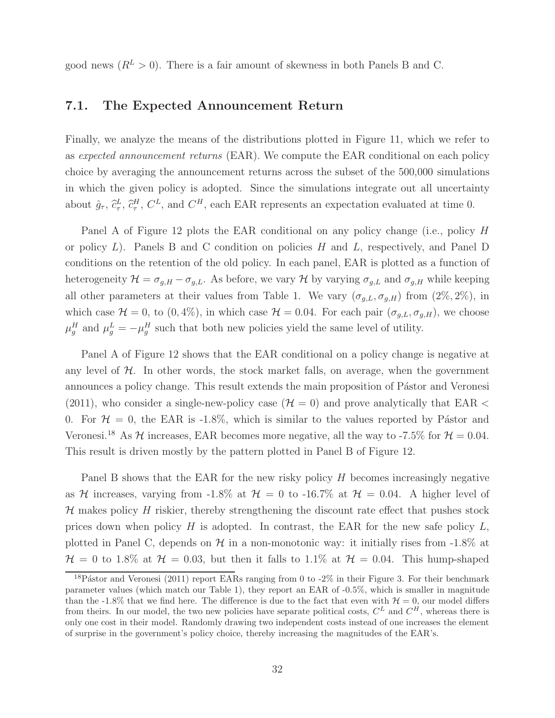good news  $(R^L > 0)$ . There is a fair amount of skewness in both Panels B and C.

### **7.1. The Expected Announcement Return**

Finally, we analyze the means of the distributions plotted in Figure 11, which we refer to as expected announcement returns (EAR). We compute the EAR conditional on each policy choice by averaging the announcement returns across the subset of the 500,000 simulations in which the given policy is adopted. Since the simulations integrate out all uncertainty about  $\hat{g}_{\tau}$ ,  $\hat{c}^L_{\tau}$ ,  $\hat{c}^H_{\tau}$ ,  $C^L$ , and  $C^H$ , each EAR represents an expectation evaluated at time 0.

Panel A of Figure 12 plots the EAR conditional on any policy change (i.e., policy H or policy  $L$ ). Panels B and C condition on policies H and  $L$ , respectively, and Panel D conditions on the retention of the old policy. In each panel, EAR is plotted as a function of heterogeneity  $\mathcal{H} = \sigma_{g,H} - \sigma_{g,L}$ . As before, we vary  $\mathcal{H}$  by varying  $\sigma_{g,L}$  and  $\sigma_{g,H}$  while keeping all other parameters at their values from Table 1. We vary  $(\sigma_{g,L}, \sigma_{g,H})$  from  $(2\%, 2\%)$ , in which case  $\mathcal{H} = 0$ , to  $(0, 4\%)$ , in which case  $\mathcal{H} = 0.04$ . For each pair  $(\sigma_{g,L}, \sigma_{g,H})$ , we choose  $\mu_g^H$  and  $\mu_g^L = -\mu_g^H$  such that both new policies yield the same level of utility.

Panel A of Figure 12 shows that the EAR conditional on a policy change is negative at any level of  $H$ . In other words, the stock market falls, on average, when the government announces a policy change. This result extends the main proposition of Pástor and Veronesi (2011), who consider a single-new-policy case ( $H = 0$ ) and prove analytically that EAR < 0. For  $H = 0$ , the EAR is -1.8%, which is similar to the values reported by Pástor and Veronesi.<sup>18</sup> As  $H$  increases, EAR becomes more negative, all the way to -7.5% for  $H = 0.04$ . This result is driven mostly by the pattern plotted in Panel B of Figure 12.

Panel B shows that the EAR for the new risky policy  $H$  becomes increasingly negative as H increases, varying from -1.8% at  $H = 0$  to -16.7% at  $H = 0.04$ . A higher level of  $H$  makes policy  $H$  riskier, thereby strengthening the discount rate effect that pushes stock prices down when policy  $H$  is adopted. In contrast, the EAR for the new safe policy  $L$ , plotted in Panel C, depends on  $H$  in a non-monotonic way: it initially rises from -1.8% at  $H = 0$  to 1.8% at  $H = 0.03$ , but then it falls to 1.1% at  $H = 0.04$ . This hump-shaped

<sup>&</sup>lt;sup>18</sup>Pástor and Veronesi (2011) report EARs ranging from 0 to  $-2\%$  in their Figure 3. For their benchmark parameter values (which match our Table 1), they report an EAR of -0.5%, which is smaller in magnitude than the -1.8% that we find here. The difference is due to the fact that even with  $\mathcal{H} = 0$ , our model differs from theirs. In our model, the two new policies have separate political costs,  $C<sup>L</sup>$  and  $C<sup>H</sup>$ , whereas there is only one cost in their model. Randomly drawing two independent costs instead of one increases the element of surprise in the government's policy choice, thereby increasing the magnitudes of the EAR's.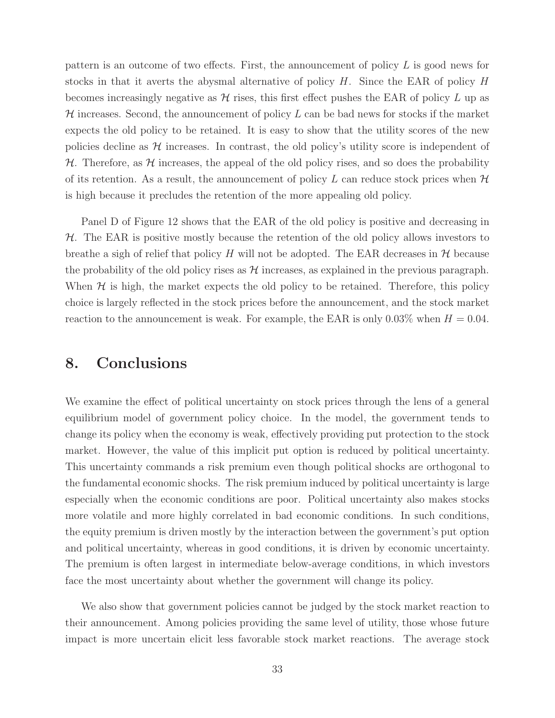pattern is an outcome of two effects. First, the announcement of policy  $L$  is good news for stocks in that it averts the abysmal alternative of policy  $H$ . Since the EAR of policy  $H$ becomes increasingly negative as  $\mathcal H$  rises, this first effect pushes the EAR of policy L up as  $H$  increases. Second, the announcement of policy  $L$  can be bad news for stocks if the market expects the old policy to be retained. It is easy to show that the utility scores of the new policies decline as  $H$  increases. In contrast, the old policy's utility score is independent of  $H$ . Therefore, as  $H$  increases, the appeal of the old policy rises, and so does the probability of its retention. As a result, the announcement of policy  $L$  can reduce stock prices when  $H$ is high because it precludes the retention of the more appealing old policy.

Panel D of Figure 12 shows that the EAR of the old policy is positive and decreasing in  $H$ . The EAR is positive mostly because the retention of the old policy allows investors to breathe a sigh of relief that policy H will not be adopted. The EAR decreases in  $H$  because the probability of the old policy rises as  $\mathcal H$  increases, as explained in the previous paragraph. When  $\mathcal H$  is high, the market expects the old policy to be retained. Therefore, this policy choice is largely reflected in the stock prices before the announcement, and the stock market reaction to the announcement is weak. For example, the EAR is only 0.03% when  $H = 0.04$ .

## **8. Conclusions**

We examine the effect of political uncertainty on stock prices through the lens of a general equilibrium model of government policy choice. In the model, the government tends to change its policy when the economy is weak, effectively providing put protection to the stock market. However, the value of this implicit put option is reduced by political uncertainty. This uncertainty commands a risk premium even though political shocks are orthogonal to the fundamental economic shocks. The risk premium induced by political uncertainty is large especially when the economic conditions are poor. Political uncertainty also makes stocks more volatile and more highly correlated in bad economic conditions. In such conditions, the equity premium is driven mostly by the interaction between the government's put option and political uncertainty, whereas in good conditions, it is driven by economic uncertainty. The premium is often largest in intermediate below-average conditions, in which investors face the most uncertainty about whether the government will change its policy.

We also show that government policies cannot be judged by the stock market reaction to their announcement. Among policies providing the same level of utility, those whose future impact is more uncertain elicit less favorable stock market reactions. The average stock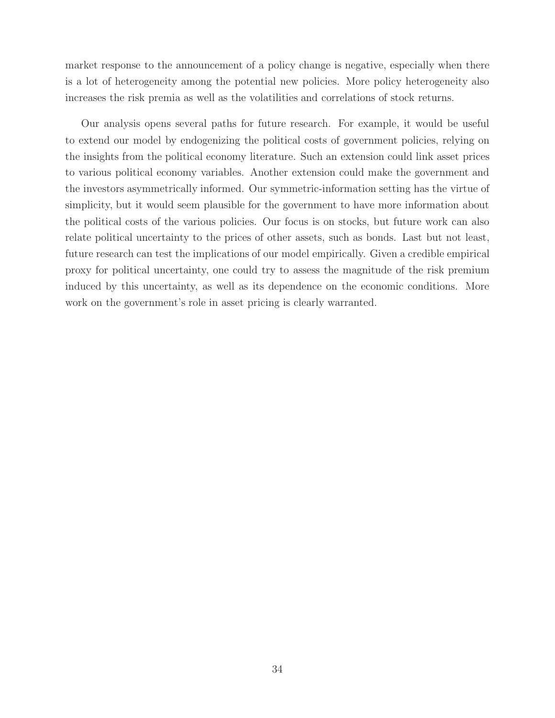market response to the announcement of a policy change is negative, especially when there is a lot of heterogeneity among the potential new policies. More policy heterogeneity also increases the risk premia as well as the volatilities and correlations of stock returns.

Our analysis opens several paths for future research. For example, it would be useful to extend our model by endogenizing the political costs of government policies, relying on the insights from the political economy literature. Such an extension could link asset prices to various political economy variables. Another extension could make the government and the investors asymmetrically informed. Our symmetric-information setting has the virtue of simplicity, but it would seem plausible for the government to have more information about the political costs of the various policies. Our focus is on stocks, but future work can also relate political uncertainty to the prices of other assets, such as bonds. Last but not least, future research can test the implications of our model empirically. Given a credible empirical proxy for political uncertainty, one could try to assess the magnitude of the risk premium induced by this uncertainty, as well as its dependence on the economic conditions. More work on the government's role in asset pricing is clearly warranted.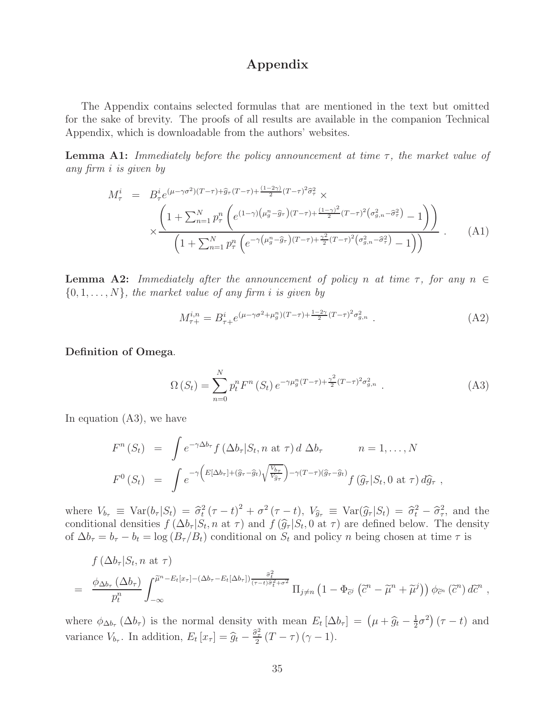### **Appendix**

The Appendix contains selected formulas that are mentioned in the text but omitted for the sake of brevity. The proofs of all results are available in the companion Technical Appendix, which is downloadable from the authors' websites.

**Lemma A1:** Immediately before the policy announcement at time  $\tau$ , the market value of any firm i is given by

$$
M_{\tau}^{i} = B_{\tau}^{i} e^{(\mu - \gamma \sigma^{2})(T - \tau) + \widehat{g}_{\tau}(T - \tau) + \frac{(1 - 2\gamma)}{2}(T - \tau)^{2} \widehat{\sigma}_{\tau}^{2}} \times \times \frac{\left(1 + \sum_{n=1}^{N} p_{\tau}^{n} \left(e^{(1 - \gamma)(\mu_{g}^{n} - \widehat{g}_{\tau})(T - \tau) + \frac{(1 - \gamma)^{2}}{2}(T - \tau)^{2}(\sigma_{g,n}^{2} - \widehat{\sigma}_{\tau}^{2}) - 1}\right)\right)}{\left(1 + \sum_{n=1}^{N} p_{\tau}^{n} \left(e^{-\gamma(\mu_{g}^{n} - \widehat{g}_{\tau})(T - \tau) + \frac{\gamma^{2}}{2}(T - \tau)^{2}(\sigma_{g,n}^{2} - \widehat{\sigma}_{\tau}^{2}) - 1}\right)\right)}.
$$
\n(A1)

**Lemma A2:** Immediately after the announcement of policy n at time  $\tau$ , for any  $n \in$  $\{0, 1, \ldots, N\}$ , the market value of any firm i is given by

$$
M_{\tau+}^{i,n} = B_{\tau+}^i e^{(\mu-\gamma\sigma^2+\mu_g^n)(T-\tau)+\frac{1-2\gamma}{2}(T-\tau)^2\sigma_{g,n}^2} \tag{A2}
$$

**Definition of Omega**.

$$
\Omega\left(S_{t}\right) = \sum_{n=0}^{N} p_{t}^{n} F^{n}\left(S_{t}\right) e^{-\gamma \mu_{g}^{n}(T-\tau) + \frac{\gamma^{2}}{2}(T-\tau)^{2} \sigma_{g,n}^{2}}.
$$
\n(A3)

In equation (A3), we have

$$
F^{n}(S_{t}) = \int e^{-\gamma \Delta b_{\tau}} f(\Delta b_{\tau}|S_{t}, n \text{ at } \tau) d \Delta b_{\tau} \qquad n = 1, ..., N
$$
  

$$
F^{0}(S_{t}) = \int e^{-\gamma \left( E[\Delta b_{\tau}] + (\widehat{g}_{\tau} - \widehat{g}_{t}) \sqrt{\frac{V_{b_{\tau}}}{V_{\widehat{g}_{\tau}}}} \right) - \gamma (T - \tau) (\widehat{g}_{\tau} - \widehat{g}_{t})} f(\widehat{g}_{\tau}|S_{t}, 0 \text{ at } \tau) d\widehat{g}_{\tau},
$$

where  $V_{b_{\tau}} \equiv \text{Var}(b_{\tau} | S_t) = \hat{\sigma}_t^2 (\tau - t)^2 + \sigma^2 (\tau - t)$ ,  $V_{\hat{g}_{\tau}} \equiv \text{Var}(\hat{g}_{\tau} | S_t) = \hat{\sigma}_t^2 - \hat{\sigma}_\tau^2$ , and the conditional densition  $f(\Delta b | S_t)$  and  $f(\hat{\alpha} | S_t)$  and  $f(\hat{\alpha} | S_t)$  and  $\sigma$  and  $f(\hat{\alpha} | S_t)$  and  $\sigma$ conditional densities  $f(\Delta b_\tau | S_t, n \text{ at } \tau)$  and  $f(\hat{g}_\tau | S_t, 0 \text{ at } \tau)$  are defined below. The density of  $\Delta b_{\tau} = b_{\tau} - b_t = \log (B_{\tau}/B_t)$  conditional on  $S_t$  and policy n being chosen at time  $\tau$  is

$$
f(\Delta b_{\tau}|S_t, n \text{ at } \tau)
$$
  
=  $\frac{\phi_{\Delta b_{\tau}}(\Delta b_{\tau})}{p_t^n} \int_{-\infty}^{\widetilde{\mu}^n - E_t[x_{\tau}] - (\Delta b_{\tau} - E_t[\Delta b_{\tau}])} \frac{\partial_i^2}{(\tau - t)\partial_i^2 + \sigma^2} \Pi_{j \neq n} (1 - \Phi_{\widetilde{\omega}} (\widetilde{c}^n - \widetilde{\mu}^n + \widetilde{\mu}^j)) \phi_{\widetilde{c}^n} (\widetilde{c}^n) d\widetilde{c}^n ,$ 

where  $\phi_{\Delta b_{\tau}}(\Delta b_{\tau})$  is the normal density with mean  $E_t[\Delta b_{\tau}] = (\mu + \widehat{g}_t - \frac{1}{2}\sigma^2)(\tau - t)$  and variance  $V_{b_{\tau}}$ . In addition,  $E_t[x_{\tau}] = \hat{g}_t - \frac{\hat{\sigma}_{\tau}^2}{2}(T - \tau)(\gamma - 1)$ .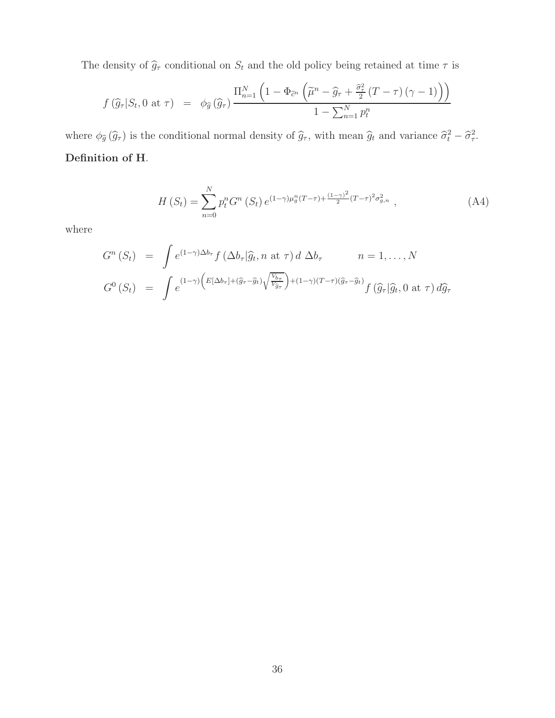The density of  $\widehat{g}_{\tau}$  conditional on  $S_t$  and the old policy being retained at time  $\tau$  is

$$
f(\widehat{g}_{\tau}|S_t, 0 \text{ at } \tau) = \phi_{\widehat{g}}(\widehat{g}_{\tau}) \frac{\Pi_{n=1}^N \left(1 - \Phi_{\widetilde{c}^n} \left(\widetilde{\mu}^n - \widehat{g}_{\tau} + \frac{\widehat{\sigma}_{\tau}^2}{2} (T - \tau) (\gamma - 1) \right)\right)}{1 - \sum_{n=1}^N p_t^n}
$$

where  $\phi_{\widehat{g}}(\widehat{g}_{\tau})$  is the conditional normal density of  $\widehat{g}_{\tau}$ , with mean  $\widehat{g}_t$  and variance  $\widehat{\sigma}_t^2 - \widehat{\sigma}_\tau^2$ . **Definition of H**.

$$
H(S_t) = \sum_{n=0}^{N} p_t^n G^n(S_t) e^{(1-\gamma)\mu_g^n(T-\tau) + \frac{(1-\gamma)^2}{2}(T-\tau)^2 \sigma_{g,n}^2}, \qquad (A4)
$$

where

$$
G^{n}(S_{t}) = \int e^{(1-\gamma)\Delta b_{\tau}} f(\Delta b_{\tau}|\widehat{g}_{t}, n \text{ at } \tau) d \Delta b_{\tau} \qquad n = 1, ..., N
$$
  

$$
G^{0}(S_{t}) = \int e^{(1-\gamma)\left(E[\Delta b_{\tau}] + (\widehat{g}_{\tau} - \widehat{g}_{t})\sqrt{\frac{V_{b_{\tau}}}{V_{\widehat{g}_{\tau}}}}\right) + (1-\gamma)(T-\tau)(\widehat{g}_{\tau} - \widehat{g}_{t})} f(\widehat{g}_{\tau}|\widehat{g}_{t}, 0 \text{ at } \tau) d\widehat{g}_{\tau}
$$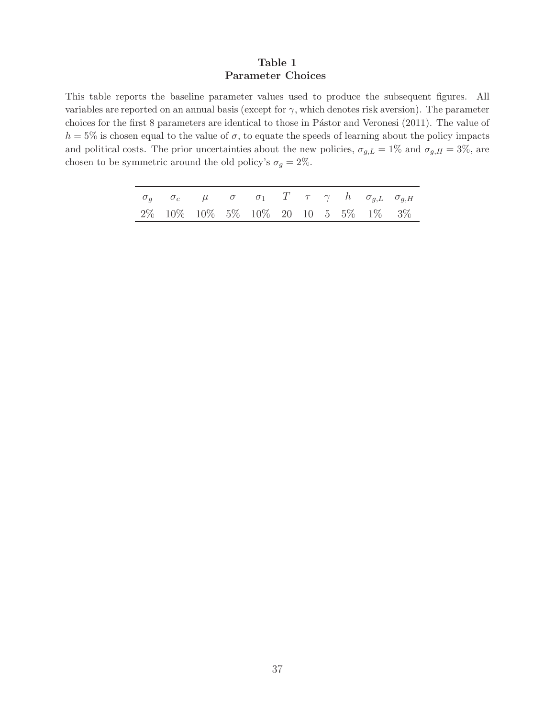#### **Table 1 Parameter Choices**

This table reports the baseline parameter values used to produce the subsequent figures. All variables are reported on an annual basis (except for  $\gamma$ , which denotes risk aversion). The parameter choices for the first 8 parameters are identical to those in Pástor and Veronesi (2011). The value of  $h = 5\%$  is chosen equal to the value of  $\sigma$ , to equate the speeds of learning about the policy impacts and political costs. The prior uncertainties about the new policies,  $\sigma_{g,L} = 1\%$  and  $\sigma_{g,H} = 3\%$ , are chosen to be symmetric around the old policy's  $\sigma_g=2\%.$ 

|  |  |  |  |  | $\sigma_q$ $\sigma_c$ $\mu$ $\sigma$ $\sigma_1$ $T$ $\tau$ $\gamma$ $h$ $\sigma_{g,L}$ $\sigma_{g,H}$ |
|--|--|--|--|--|-------------------------------------------------------------------------------------------------------|
|  |  |  |  |  | $2\%$ 10\% 10\% 5\% 10\% 20 10 5 5\% 1\% 3\%                                                          |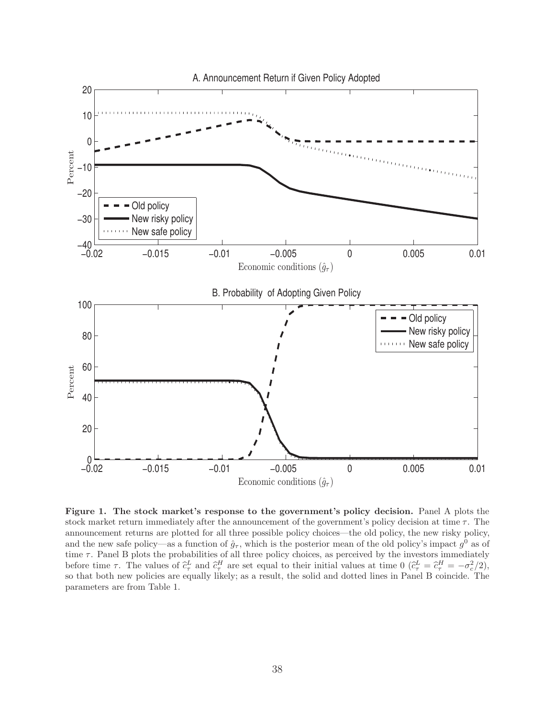

**Figure 1. The stock market's response to the government's policy decision.** Panel A plots the stock market return immediately after the announcement of the government's policy decision at time  $\tau$ . The announcement returns are plotted for all three possible policy choices—the old policy, the new risky policy, and the new safe policy—as a function of  $\hat{g}_{\tau}$ , which is the posterior mean of the old policy's impact  $g^0$  as of time  $\tau$ . Panel B plots the probabilities of all three policy choices, as perceived by the investors immediately before time  $\tau$ . The values of  $\hat{c}_{\tau}^L$  and  $\hat{c}_{\tau}^H$  are set equal to their initial values at time  $0$   $(\hat{c}_{\tau}^L = \hat{c}_{\tau}^H = -\sigma_c^2/2)$ , so that both new policies are equally likely; as a result, the solid and dotted lines in Panel B coincide. The parameters are from Table 1.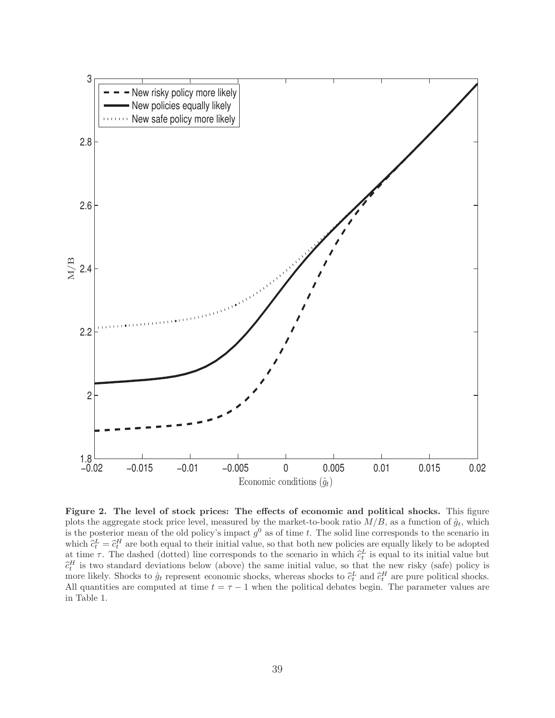

**Figure 2. The level of stock prices: The effects of economic and political shocks.** This figure plots the aggregate stock price level, measured by the market-to-book ratio  $M/B$ , as a function of  $\hat{g}_t$ , which is the posterior mean of the old policy's impact  $g^0$  as of time t. The solid line corresponds to the scenario in which  $\hat{c}_t^L = \hat{c}_t^H$  are both equal to their initial value, so that both new policies are equally likely to be adopted<br>at time  $\tau$ . The dashed (dotted) line corresponds to the sconario in which  $\hat{c}^L$  is equal to at time  $\tau$ . The dashed (dotted) line corresponds to the scenario in which  $\hat{c}_t^L$  is equal to its initial value but  $\hat{c}_t^H$  is two standard doviations below (above) the same initial value so that the now risky (sa  $\hat{c}_t^H$  is two standard deviations below (above) the same initial value, so that the new risky (safe) policy is<br>more likely. Shocks to  $\hat{a}$ , represent economic shocks, whereas shocks to  $\hat{a}^L$  and  $\hat{a}^H$  are p more likely. Shocks to  $\hat{g}_t$  represent economic shocks, whereas shocks to  $\hat{c}_t^L$  and  $\hat{c}_t^H$  are pure political shocks. All quantities are computed at time  $t = \tau - 1$  when the political debates begin. The parameter values are in Table 1.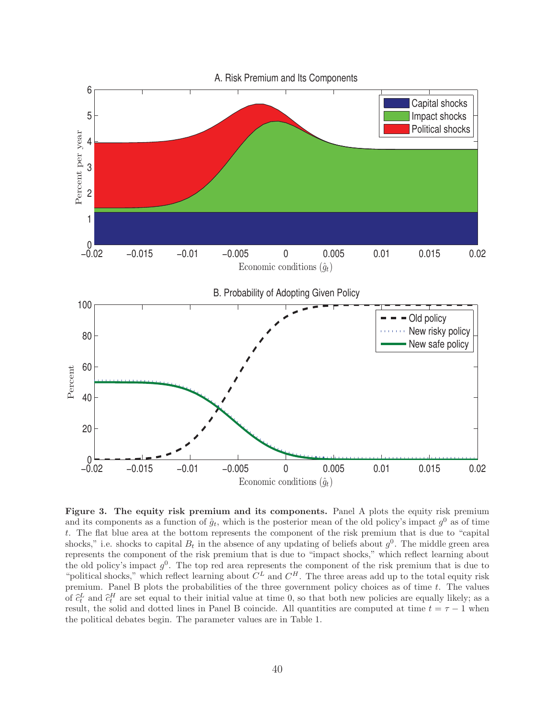

**Figure 3. The equity risk premium and its components.** Panel A plots the equity risk premium and its components as a function of  $\hat{g}_t$ , which is the posterior mean of the old policy's impact  $g^0$  as of time t. The flat blue area at the bottom represents the component of the risk premium that is due to "capital shocks," i.e. shocks to capital  $B_t$  in the absence of any updating of beliefs about  $g^0$ . The middle green area represents the component of the risk premium that is due to "impact shocks," which reflect learning about the old policy's impact  $g^0$ . The top red area represents the component of the risk premium that is due to "political shocks," which reflect learning about  $C^L$  and  $C^H$ . The three areas add up to the total equity risk premium. Panel B plots the probabilities of the three government policy choices as of time t. The values of  $\hat{c}_t^L$  and  $\hat{c}_t^H$  are set equal to their initial value at time 0, so that both new policies are equally likely; as a<br>result the solid and dotted lines in Panel B coincide. All quantities are computed at time  $t$ result, the solid and dotted lines in Panel B coincide. All quantities are computed at time  $t = \tau - 1$  when the political debates begin. The parameter values are in Table 1.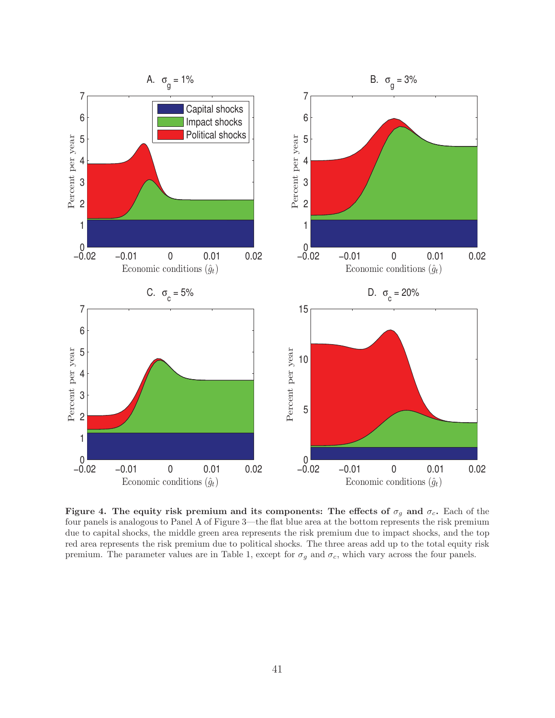

**Figure 4.** The equity risk premium and its components: The effects of  $\sigma_g$  and  $\sigma_c$ . Each of the four panels is analogous to Panel A of Figure 3—the flat blue area at the bottom represents the risk premium due to capital shocks, the middle green area represents the risk premium due to impact shocks, and the top red area represents the risk premium due to political shocks. The three areas add up to the total equity risk premium. The parameter values are in Table 1, except for  $\sigma_g$  and  $\sigma_c$ , which vary across the four panels.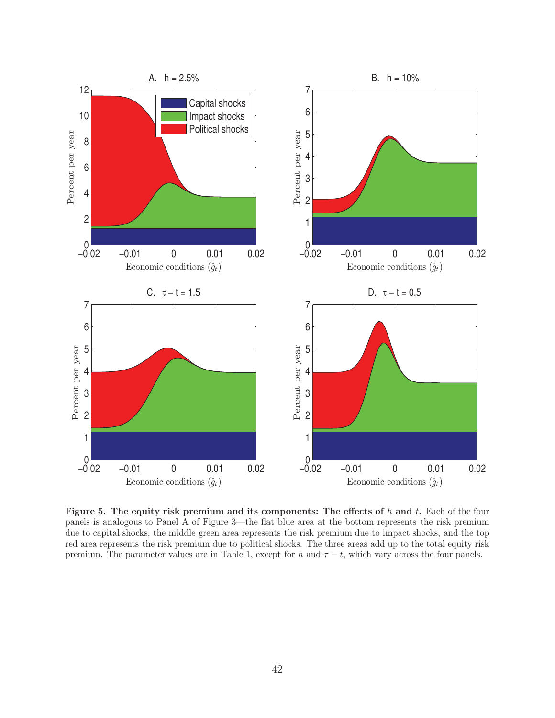

**Figure 5. The equity risk premium and its components: The effects of** h **and** t**.** Each of the four panels is analogous to Panel A of Figure 3—the flat blue area at the bottom represents the risk premium due to capital shocks, the middle green area represents the risk premium due to impact shocks, and the top red area represents the risk premium due to political shocks. The three areas add up to the total equity risk premium. The parameter values are in Table 1, except for h and  $\tau - t$ , which vary across the four panels.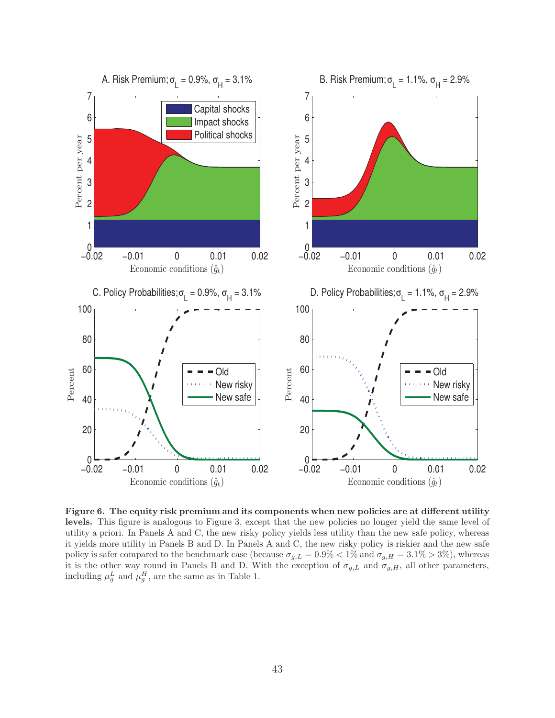

**Figure 6. The equity risk premium and its components when new policies are at different utility** levels. This figure is analogous to Figure 3, except that the new policies no longer yield the same level of utility a priori. In Panels A and C, the new risky policy yields less utility than the new safe policy, whereas it yields more utility in Panels B and D. In Panels A and C, the new risky policy is riskier and the new safe policy is safer compared to the benchmark case (because  $\sigma_{g,L} = 0.9\% < 1\%$  and  $\sigma_{g,H} = 3.1\% > 3\%$ ), whereas it is the other way round in Panels B and D. With the exception of  $\sigma_{g,L}$  and  $\sigma_{g,H}$ , all other parameters, including  $\mu_g^L$  and  $\mu_g^H$ , are the same as in Table 1.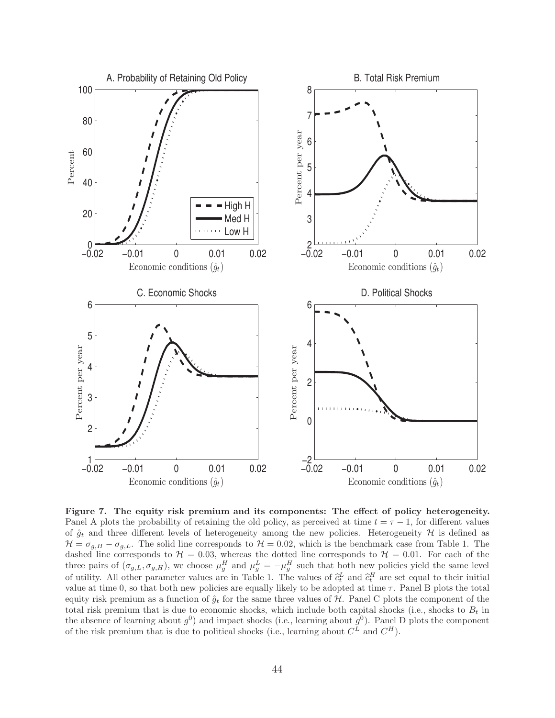

**Figure 7. The equity risk premium and its components: The effect of policy heterogeneity.** Panel A plots the probability of retaining the old policy, as perceived at time  $t = \tau - 1$ , for different values of  $\hat{g}_t$  and three different levels of heterogeneity among the new policies. Heterogeneity H is defined as  $\mathcal{H} = \sigma_{q,H} - \sigma_{q,L}$ . The solid line corresponds to  $\mathcal{H} = 0.02$ , which is the benchmark case from Table 1. The dashed line corresponds to  $\mathcal{H} = 0.03$ , whereas the dotted line corresponds to  $\mathcal{H} = 0.01$ . For each of the three pairs of  $(\sigma_{g,L}, \sigma_{g,H})$ , we choose  $\mu_g^H$  and  $\mu_g^L = -\mu_g^H$  such that both new policies yield the same level of utility. All other parameter values are in Table 1. The values of  $\hat{c}_t^L$  and  $\hat{c}_t^H$  are set equal to their initial<br>training to the set of the set of the set of the set of the set of the set of the set of the se value at time 0, so that both new policies are equally likely to be adopted at time  $\tau$ . Panel B plots the total equity risk premium as a function of  $\hat{g}_t$  for the same three values of H. Panel C plots the component of the total risk premium that is due to economic shocks, which include both capital shocks (i.e., shocks to  $B_t$  in the absence of learning about  $g^{0}$ ) and impact shocks (i.e., learning about  $g^{0}$ ). Panel D plots the component of the risk premium that is due to political shocks (i.e., learning about  $C^L$  and  $C^H$ ).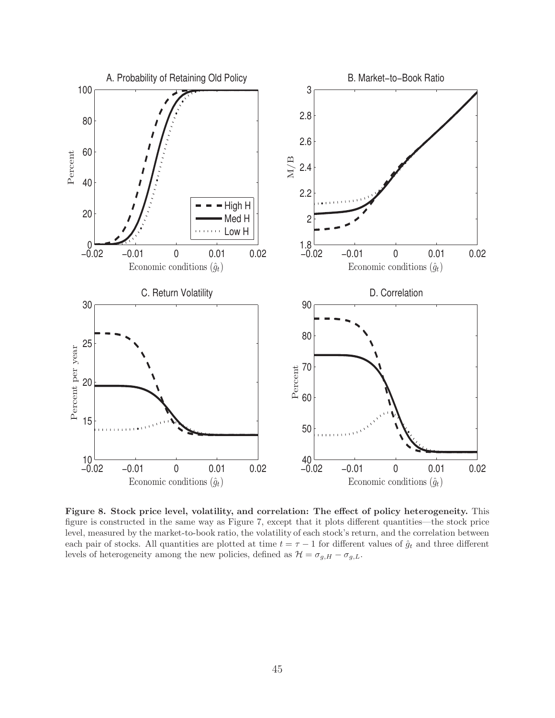

**Figure 8. Stock price level, volatility, and correlation: The effect of policy heterogeneity.** This figure is constructed in the same way as Figure 7, except that it plots different quantities—the stock price level, measured by the market-to-book ratio, the volatility of each stock's return, and the correlation between each pair of stocks. All quantities are plotted at time  $t = \tau - 1$  for different values of  $\hat{g}_t$  and three different levels of heterogeneity among the new policies, defined as  $\mathcal{H} = \sigma_{g,H} - \sigma_{g,L}$ .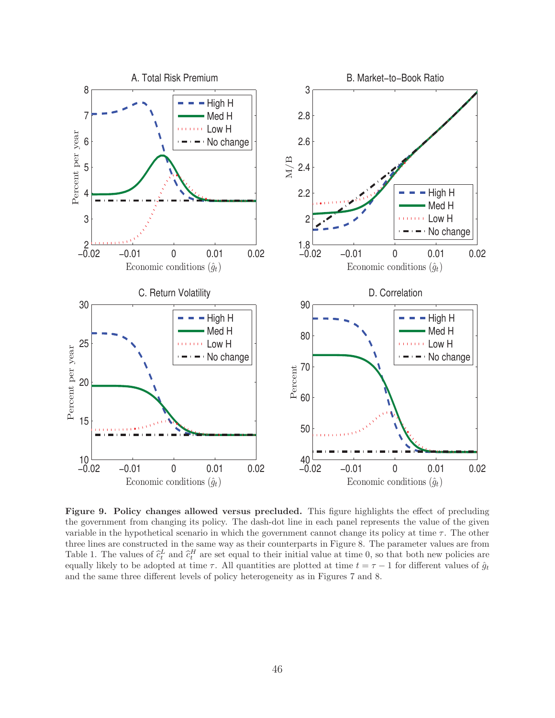

**Figure 9. Policy changes allowed versus precluded.** This figure highlights the effect of precluding the government from changing its policy. The dash-dot line in each panel represents the value of the given variable in the hypothetical scenario in which the government cannot change its policy at time  $\tau$ . The other three lines are constructed in the same way as their counterparts in Figure 8. The parameter values are from Table 1. The values of  $\hat{c}_t^L$  and  $\hat{c}_t^H$  are set equal to their initial value at time 0, so that both new policies are equally likely to be adopted at time  $\tau$ . All quantities are plotted at time  $t - \tau - 1$  for di equally likely to be adopted at time  $\tau$ . All quantities are plotted at time  $t = \tau - 1$  for different values of  $\hat{g}_t$ and the same three different levels of policy heterogeneity as in Figures 7 and 8.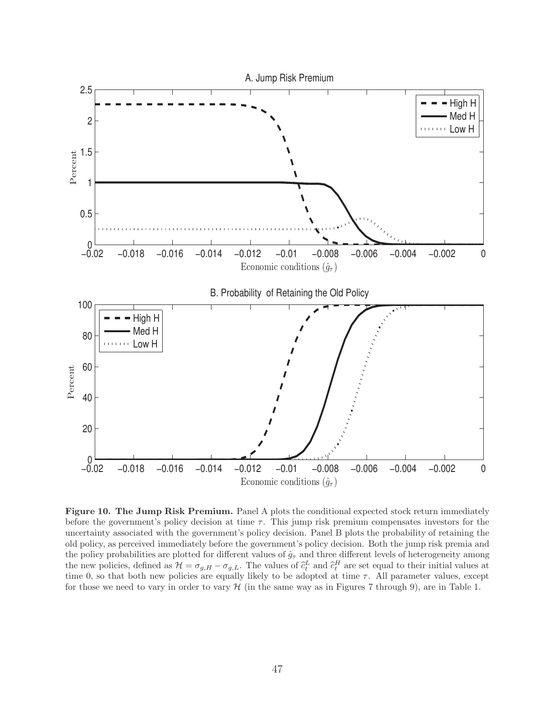

**Figure 10. The Jump Risk Premium.** Panel A plots the conditional expected stock return immediately before the government's policy decision at time  $\tau$ . This jump risk premium compensates investors for the uncertainty associated with the government's policy decision. Panel B plots the probability of retaining the old policy, as perceived immediately before the government's policy decision. Both the jump risk premia and the policy probabilities are plotted for different values of  $\hat{g}_{\tau}$  and three different levels of heterogeneity among the new policies, defined as  $\mathcal{H} = \sigma_{g,H} - \sigma_{g,L}$ . The values of  $\hat{c}_t^L$  and  $\hat{c}_t^H$  are set equal to their initial values at time 0, so that both now policies are equally likely to be adopted at time  $\tau$ . All pa time 0, so that both new policies are equally likely to be adopted at time  $\tau$ . All parameter values, except for those we need to vary in order to vary  $H$  (in the same way as in Figures 7 through 9), are in Table 1.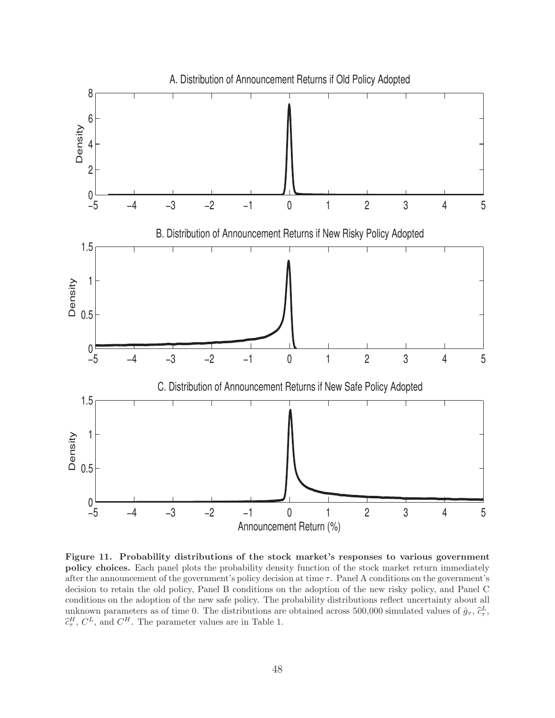

**Figure 11. Probability distributions of the stock market's responses to various government policy choices.** Each panel plots the probability density function of the stock market return immediately after the announcement of the government's policy decision at time  $\tau$ . Panel A conditions on the government's decision to retain the old policy, Panel B conditions on the adoption of the new risky policy, and Panel C conditions on the adoption of the new safe policy. The probability distributions reflect uncertainty about all unknown parameters as of time 0. The distributions are obtained across 500,000 simulated values of  $\hat{g}_{\tau}$ ,  $\hat{c}_{\tau}^L$ ,  $\hat{c}_{\tau}^L$  $\hat{c}^H_{\tau}$ ,  $C^L$ , and  $C^H$ . The parameter values are in Table 1.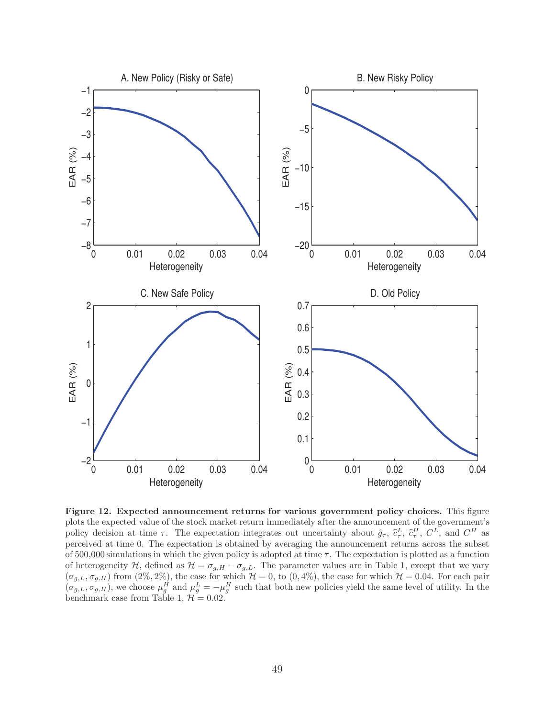

**Figure 12. Expected announcement returns for various government policy choices.** This figure plots the expected value of the stock market return immediately after the announcement of the government's policy decision at time  $\tau$ . The expectation integrates out uncertainty about  $\hat{g}_{\tau}$ ,  $\hat{c}_{\tau}^L$ ,  $\hat{c}_{\tau}^H$ ,  $C^L$ , and  $C^H$  as perceived at time 0. The expectation is obtained by averaging the announcement returns across the subset of 500,000 simulations in which the given policy is adopted at time  $\tau$ . The expectation is plotted as a function of heterogeneity H, defined as  $\mathcal{H} = \sigma_{g,H} - \sigma_{g,L}$ . The parameter values are in Table 1, except that we vary  $(\sigma_{g,L}, \sigma_{g,H})$  from  $(2\%, 2\%)$ , the case for which  $\mathcal{H} = 0$ , to  $(0, 4\%)$ , the case for which  $\mathcal{H} = 0.04$ . For each pair  $(\sigma_{g,L}, \sigma_{g,H})$ , we choose  $\mu_g^H$  and  $\mu_g^L = -\mu_g^H$  such that both new policies yield the same level of utility. In the benchmark case from Table 1,  $\mathcal{H} = 0.02$ .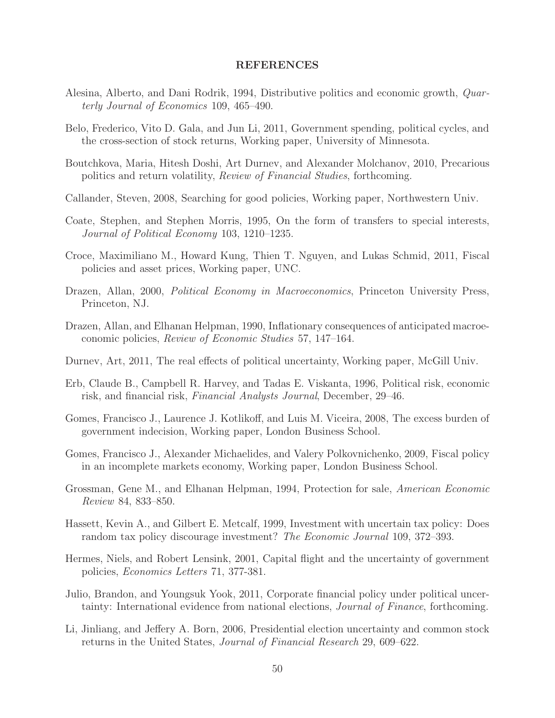#### **REFERENCES**

- Alesina, Alberto, and Dani Rodrik, 1994, Distributive politics and economic growth, Quarterly Journal of Economics 109, 465–490.
- Belo, Frederico, Vito D. Gala, and Jun Li, 2011, Government spending, political cycles, and the cross-section of stock returns, Working paper, University of Minnesota.
- Boutchkova, Maria, Hitesh Doshi, Art Durnev, and Alexander Molchanov, 2010, Precarious politics and return volatility, Review of Financial Studies, forthcoming.
- Callander, Steven, 2008, Searching for good policies, Working paper, Northwestern Univ.
- Coate, Stephen, and Stephen Morris, 1995, On the form of transfers to special interests, Journal of Political Economy 103, 1210–1235.
- Croce, Maximiliano M., Howard Kung, Thien T. Nguyen, and Lukas Schmid, 2011, Fiscal policies and asset prices, Working paper, UNC.
- Drazen, Allan, 2000, *Political Economy in Macroeconomics*, Princeton University Press, Princeton, NJ.
- Drazen, Allan, and Elhanan Helpman, 1990, Inflationary consequences of anticipated macroeconomic policies, Review of Economic Studies 57, 147–164.
- Durnev, Art, 2011, The real effects of political uncertainty, Working paper, McGill Univ.
- Erb, Claude B., Campbell R. Harvey, and Tadas E. Viskanta, 1996, Political risk, economic risk, and financial risk, Financial Analysts Journal, December, 29–46.
- Gomes, Francisco J., Laurence J. Kotlikoff, and Luis M. Viceira, 2008, The excess burden of government indecision, Working paper, London Business School.
- Gomes, Francisco J., Alexander Michaelides, and Valery Polkovnichenko, 2009, Fiscal policy in an incomplete markets economy, Working paper, London Business School.
- Grossman, Gene M., and Elhanan Helpman, 1994, Protection for sale, American Economic Review 84, 833–850.
- Hassett, Kevin A., and Gilbert E. Metcalf, 1999, Investment with uncertain tax policy: Does random tax policy discourage investment? The Economic Journal 109, 372–393.
- Hermes, Niels, and Robert Lensink, 2001, Capital flight and the uncertainty of government policies, Economics Letters 71, 377-381.
- Julio, Brandon, and Youngsuk Yook, 2011, Corporate financial policy under political uncertainty: International evidence from national elections, Journal of Finance, forthcoming.
- Li, Jinliang, and Jeffery A. Born, 2006, Presidential election uncertainty and common stock returns in the United States, Journal of Financial Research 29, 609–622.